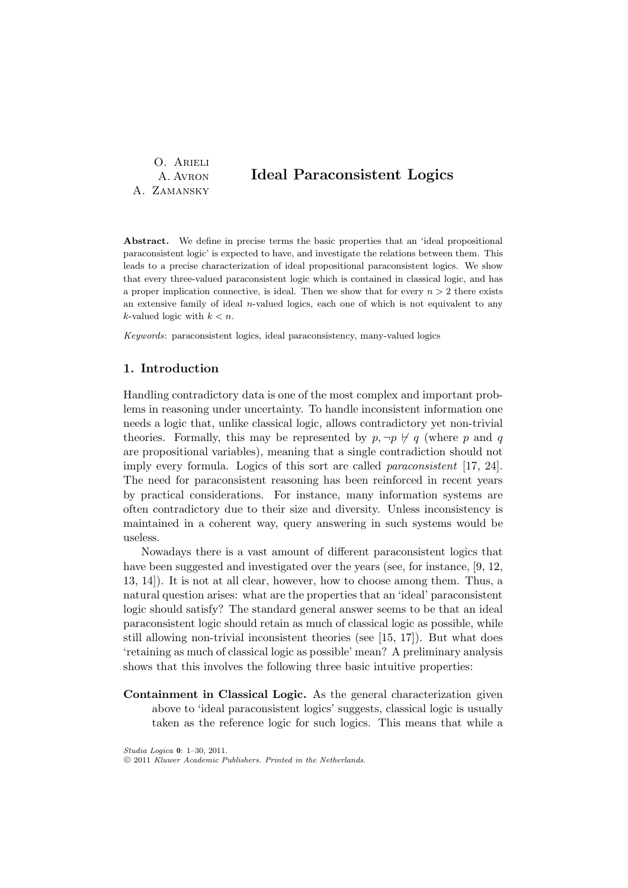#### O. Arieli A. Avron A. Zamansky Ideal Paraconsistent Logics

Abstract. We define in precise terms the basic properties that an 'ideal propositional paraconsistent logic' is expected to have, and investigate the relations between them. This leads to a precise characterization of ideal propositional paraconsistent logics. We show that every three-valued paraconsistent logic which is contained in classical logic, and has a proper implication connective, is ideal. Then we show that for every  $n > 2$  there exists an extensive family of ideal  $n$ -valued logics, each one of which is not equivalent to any k-valued logic with  $k < n$ .

*Keywords*: paraconsistent logics, ideal paraconsistency, many-valued logics

# 1. Introduction

Handling contradictory data is one of the most complex and important problems in reasoning under uncertainty. To handle inconsistent information one needs a logic that, unlike classical logic, allows contradictory yet non-trivial theories. Formally, this may be represented by  $p, \neg p \nmid q$  (where p and q are propositional variables), meaning that a single contradiction should not imply every formula. Logics of this sort are called paraconsistent [17, 24]. The need for paraconsistent reasoning has been reinforced in recent years by practical considerations. For instance, many information systems are often contradictory due to their size and diversity. Unless inconsistency is maintained in a coherent way, query answering in such systems would be useless.

Nowadays there is a vast amount of different paraconsistent logics that have been suggested and investigated over the years (see, for instance, [9, 12, 13, 14]). It is not at all clear, however, how to choose among them. Thus, a natural question arises: what are the properties that an 'ideal' paraconsistent logic should satisfy? The standard general answer seems to be that an ideal paraconsistent logic should retain as much of classical logic as possible, while still allowing non-trivial inconsistent theories (see [15, 17]). But what does 'retaining as much of classical logic as possible' mean? A preliminary analysis shows that this involves the following three basic intuitive properties:

Containment in Classical Logic. As the general characterization given above to 'ideal paraconsistent logics' suggests, classical logic is usually taken as the reference logic for such logics. This means that while a

Studia Logica 0: 1–30, 2011.

c 2011 Kluwer Academic Publishers. Printed in the Netherlands.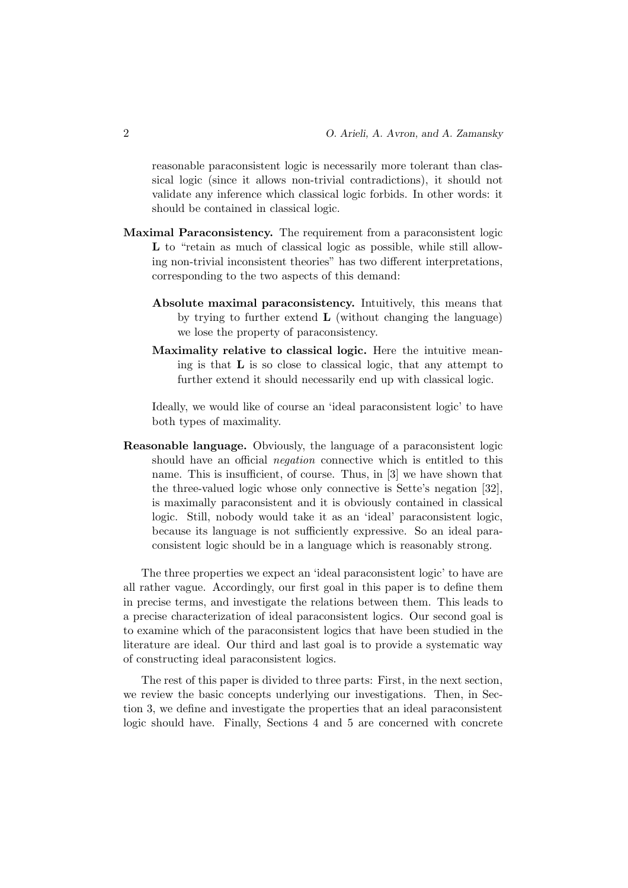reasonable paraconsistent logic is necessarily more tolerant than classical logic (since it allows non-trivial contradictions), it should not validate any inference which classical logic forbids. In other words: it should be contained in classical logic.

- Maximal Paraconsistency. The requirement from a paraconsistent logic L to "retain as much of classical logic as possible, while still allowing non-trivial inconsistent theories" has two different interpretations, corresponding to the two aspects of this demand:
	- Absolute maximal paraconsistency. Intuitively, this means that by trying to further extend  $\bf{L}$  (without changing the language) we lose the property of paraconsistency.
	- Maximality relative to classical logic. Here the intuitive meaning is that L is so close to classical logic, that any attempt to further extend it should necessarily end up with classical logic.

Ideally, we would like of course an 'ideal paraconsistent logic' to have both types of maximality.

Reasonable language. Obviously, the language of a paraconsistent logic should have an official negation connective which is entitled to this name. This is insufficient, of course. Thus, in [3] we have shown that the three-valued logic whose only connective is Sette's negation [32], is maximally paraconsistent and it is obviously contained in classical logic. Still, nobody would take it as an 'ideal' paraconsistent logic, because its language is not sufficiently expressive. So an ideal paraconsistent logic should be in a language which is reasonably strong.

The three properties we expect an 'ideal paraconsistent logic' to have are all rather vague. Accordingly, our first goal in this paper is to define them in precise terms, and investigate the relations between them. This leads to a precise characterization of ideal paraconsistent logics. Our second goal is to examine which of the paraconsistent logics that have been studied in the literature are ideal. Our third and last goal is to provide a systematic way of constructing ideal paraconsistent logics.

The rest of this paper is divided to three parts: First, in the next section, we review the basic concepts underlying our investigations. Then, in Section 3, we define and investigate the properties that an ideal paraconsistent logic should have. Finally, Sections 4 and 5 are concerned with concrete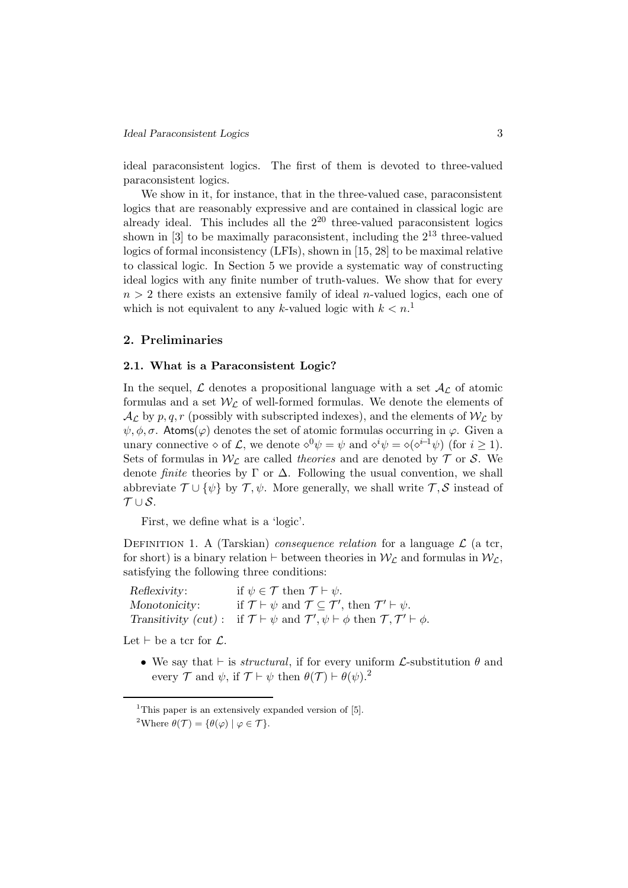ideal paraconsistent logics. The first of them is devoted to three-valued paraconsistent logics.

We show in it, for instance, that in the three-valued case, paraconsistent logics that are reasonably expressive and are contained in classical logic are already ideal. This includes all the  $2^{20}$  three-valued paraconsistent logics shown in  $[3]$  to be maximally paraconsistent, including the  $2^{13}$  three-valued logics of formal inconsistency (LFIs), shown in [15, 28] to be maximal relative to classical logic. In Section 5 we provide a systematic way of constructing ideal logics with any finite number of truth-values. We show that for every  $n > 2$  there exists an extensive family of ideal *n*-valued logics, each one of which is not equivalent to any k-valued logic with  $k < n$ <sup>1</sup>.

# 2. Preliminaries

# 2.1. What is a Paraconsistent Logic?

In the sequel,  $\mathcal L$  denotes a propositional language with a set  $\mathcal A_{\mathcal L}$  of atomic formulas and a set  $W_C$  of well-formed formulas. We denote the elements of  $\mathcal{A}_{\mathcal{L}}$  by p, q, r (possibly with subscripted indexes), and the elements of  $\mathcal{W}_{\mathcal{L}}$  by  $\psi, \phi, \sigma$ . Atoms( $\varphi$ ) denotes the set of atomic formulas occurring in  $\varphi$ . Given a unary connective  $\Diamond$  of  $\mathcal{L}$ , we denote  $\Diamond^0 \psi = \psi$  and  $\Diamond^i \psi = \Diamond (\Diamond^{i-1} \psi)$  (for  $i \geq 1$ ). Sets of formulas in  $W<sub>C</sub>$  are called theories and are denoted by  $\mathcal T$  or  $\mathcal S$ . We denote *finite* theories by  $\Gamma$  or  $\Delta$ . Following the usual convention, we shall abbreviate  $\mathcal{T} \cup {\psi}$  by  $\mathcal{T}, \psi$ . More generally, we shall write  $\mathcal{T}, \mathcal{S}$  instead of  $T\cup S$ .

First, we define what is a 'logic'.

DEFINITION 1. A (Tarskian) *consequence relation* for a language  $\mathcal{L}$  (a tcr, for short) is a binary relation  $\vdash$  between theories in  $W_L$  and formulas in  $W_L$ , satisfying the following three conditions:

Reflexivity: if  $\psi \in \mathcal{T}$  then  $\mathcal{T} \vdash \psi$ . Monotonicity: if  $\mathcal{T} \vdash \psi$  and  $\mathcal{T} \subseteq \mathcal{T}'$ , then  $\mathcal{T}' \vdash \psi$ . Transitivity  $(cut)$ : if  $\mathcal{T} \vdash \psi$  and  $\mathcal{T}', \psi \vdash \phi$  then  $\mathcal{T}, \mathcal{T}' \vdash \phi$ .

Let  $\vdash$  be a tcr for  $\mathcal{L}$ .

• We say that  $\vdash$  is *structural*, if for every uniform  $\mathcal{L}$ -substitution  $\theta$  and every  $\mathcal T$  and  $\psi$ , if  $\mathcal T \vdash \psi$  then  $\theta(\mathcal T) \vdash \theta(\psi)$ .<sup>2</sup>

<sup>&</sup>lt;sup>1</sup>This paper is an extensively expanded version of  $[5]$ .

<sup>&</sup>lt;sup>2</sup>Where  $\theta(\mathcal{T}) = {\theta(\varphi) | \varphi \in \mathcal{T}}$ .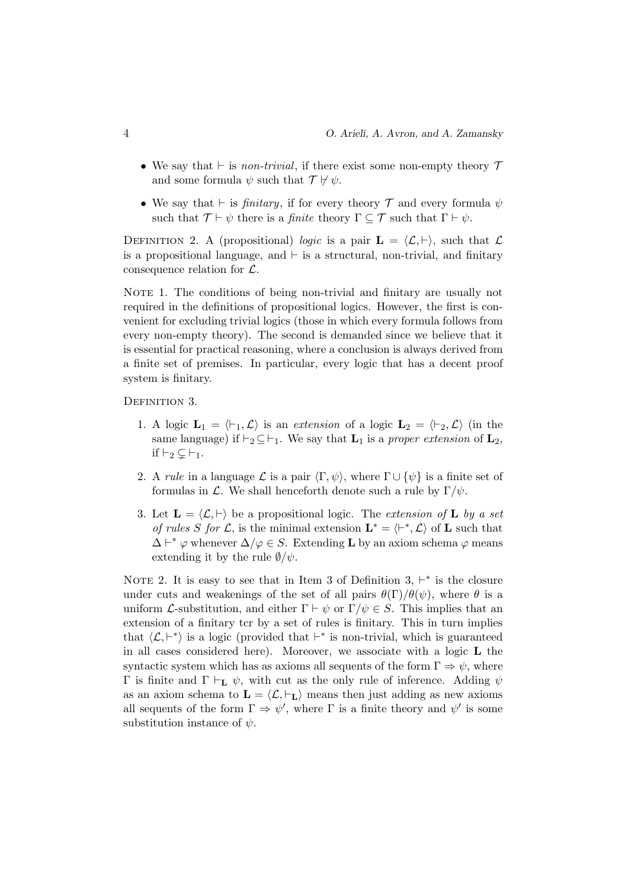- We say that  $\vdash$  is *non-trivial*, if there exist some non-empty theory  $\mathcal T$ and some formula  $\psi$  such that  $\mathcal{T} \vdash \psi$ .
- We say that  $\vdash$  is *finitary*, if for every theory  $\mathcal T$  and every formula  $\psi$ such that  $\mathcal{T} \vdash \psi$  there is a *finite* theory  $\Gamma \subseteq \mathcal{T}$  such that  $\Gamma \vdash \psi$ .

DEFINITION 2. A (propositional) logic is a pair  $\mathbf{L} = \langle \mathcal{L}, \vdash \rangle$ , such that  $\mathcal{L}$ is a propositional language, and  $\vdash$  is a structural, non-trivial, and finitary consequence relation for L.

NOTE 1. The conditions of being non-trivial and finitary are usually not required in the definitions of propositional logics. However, the first is convenient for excluding trivial logics (those in which every formula follows from every non-empty theory). The second is demanded since we believe that it is essential for practical reasoning, where a conclusion is always derived from a finite set of premises. In particular, every logic that has a decent proof system is finitary.

DEFINITION 3.

- 1. A logic  $\mathbf{L}_1 = \langle \vdash_1, \mathcal{L} \rangle$  is an extension of a logic  $\mathbf{L}_2 = \langle \vdash_2, \mathcal{L} \rangle$  (in the same language) if  $\vdash_2 \subseteq \vdash_1$ . We say that  $\mathbf{L}_1$  is a proper extension of  $\mathbf{L}_2$ , if  $\vdash_2 \subsetneq \vdash_1$ .
- 2. A rule in a language  $\mathcal L$  is a pair  $\langle \Gamma, \psi \rangle$ , where  $\Gamma \cup {\psi}$  is a finite set of formulas in  $\mathcal L$ . We shall henceforth denote such a rule by  $\Gamma/\psi$ .
- 3. Let  $\mathbf{L} = \langle \mathcal{L}, \vdash \rangle$  be a propositional logic. The extension of L by a set of rules S for L, is the minimal extension  $\mathbf{L}^* = \langle \vdash^*, \mathcal{L} \rangle$  of L such that  $\Delta \vdash^* \varphi$  whenever  $\Delta/\varphi \in S$ . Extending **L** by an axiom schema  $\varphi$  means extending it by the rule  $\ell/\psi$ .

NOTE 2. It is easy to see that in Item 3 of Definition 3,  $\vdash^*$  is the closure under cuts and weakenings of the set of all pairs  $\theta(\Gamma)/\theta(\psi)$ , where  $\theta$  is a uniform *L*-substitution, and either  $\Gamma \vdash \psi$  or  $\Gamma/\psi \in S$ . This implies that an extension of a finitary tcr by a set of rules is finitary. This in turn implies that  $\langle \mathcal{L}, \vdash^* \rangle$  is a logic (provided that  $\vdash^*$  is non-trivial, which is guaranteed in all cases considered here). Moreover, we associate with a logic L the syntactic system which has as axioms all sequents of the form  $\Gamma \Rightarrow \psi$ , where Γ is finite and Γ  $\vdash$ **L**  $\psi$ , with cut as the only rule of inference. Adding  $\psi$ as an axiom schema to  $\mathbf{L} = \langle \mathcal{L}, \vdash_{\mathbf{L}} \rangle$  means then just adding as new axioms all sequents of the form  $\Gamma \Rightarrow \psi'$ , where  $\Gamma$  is a finite theory and  $\psi'$  is some substitution instance of  $\psi$ .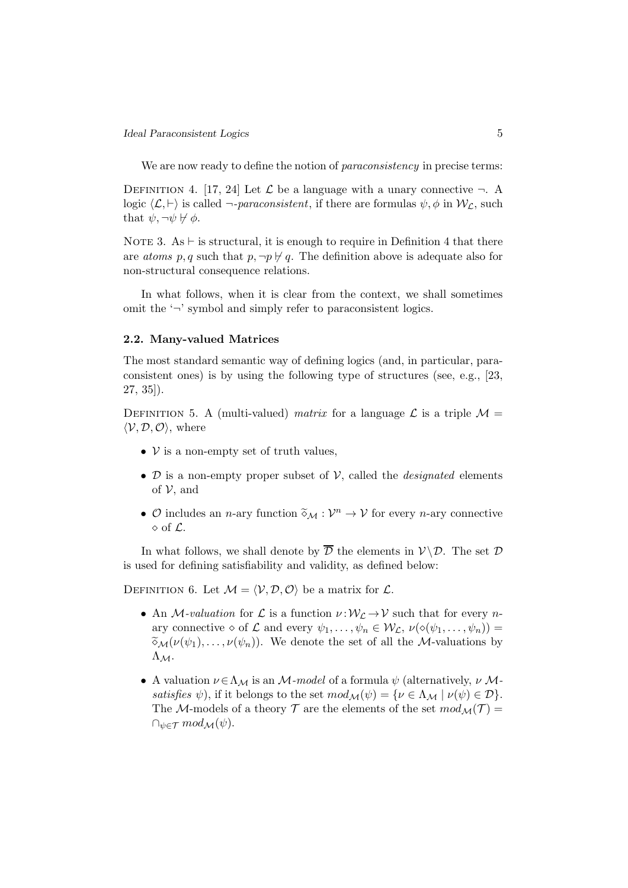We are now ready to define the notion of *paraconsistency* in precise terms:

DEFINITION 4. [17, 24] Let  $\mathcal L$  be a language with a unary connective  $\neg$ . A logic  $\langle \mathcal{L}, \vdash \rangle$  is called  $\neg$ -paraconsistent, if there are formulas  $\psi, \phi$  in  $\mathcal{W}_{\mathcal{L}}$ , such that  $\psi, \neg \psi \not\vdash \phi$ .

NOTE 3. As  $\vdash$  is structural, it is enough to require in Definition 4 that there are *atoms* p, q such that p,  $\neg p \nvdash q$ . The definition above is adequate also for non-structural consequence relations.

In what follows, when it is clear from the context, we shall sometimes omit the '¬' symbol and simply refer to paraconsistent logics.

# 2.2. Many-valued Matrices

The most standard semantic way of defining logics (and, in particular, paraconsistent ones) is by using the following type of structures (see, e.g., [23, 27, 35]).

DEFINITION 5. A (multi-valued) matrix for a language  $\mathcal L$  is a triple  $\mathcal M$  =  $\langle \mathcal{V}, \mathcal{D}, \mathcal{O} \rangle$ , where

- $V$  is a non-empty set of truth values,
- $\mathcal D$  is a non-empty proper subset of  $\mathcal V$ , called the *designated* elements of  $\mathcal{V}$ , and
- $\mathcal O$  includes an *n*-ary function  $\widetilde{\diamond}_{\mathcal M}: \mathcal V^n \to \mathcal V$  for every *n*-ary connective  $\diamond$  of  $\mathcal{L}$ .

In what follows, we shall denote by  $\overline{\mathcal{D}}$  the elements in  $\mathcal{V}\backslash\mathcal{D}$ . The set  $\mathcal{D}$ is used for defining satisfiability and validity, as defined below:

DEFINITION 6. Let  $\mathcal{M} = \langle \mathcal{V}, \mathcal{D}, \mathcal{O} \rangle$  be a matrix for  $\mathcal{L}$ .

- An *M*-valuation for *L* is a function  $\nu : \mathcal{W}_L \to \mathcal{V}$  such that for every *n*ary connective  $\diamond$  of  $\mathcal L$  and every  $\psi_1, \ldots, \psi_n \in \mathcal W_{\mathcal L}, \nu(\diamond(\psi_1, \ldots, \psi_n)) =$  $\widetilde{\diamond}_{\mathcal{M}}(\nu(\psi_1), \ldots, \nu(\psi_n)).$  We denote the set of all the M-valuations by  $Λ$ <sub>*M*</sub>.
- A valuation  $\nu \in \Lambda_M$  is an M-model of a formula  $\psi$  (alternatively,  $\nu$  Msatisfies  $\psi$ ), if it belongs to the set  $mod_{\mathcal{M}}(\psi) = {\nu \in \Lambda_{\mathcal{M}} \mid \nu(\psi) \in \mathcal{D}}$ . The M-models of a theory  $\mathcal T$  are the elements of the set  $mod_{\mathcal M}(\mathcal T)$  =  $\cap_{\psi \in \mathcal{T}} mod_{\mathcal{M}}(\psi).$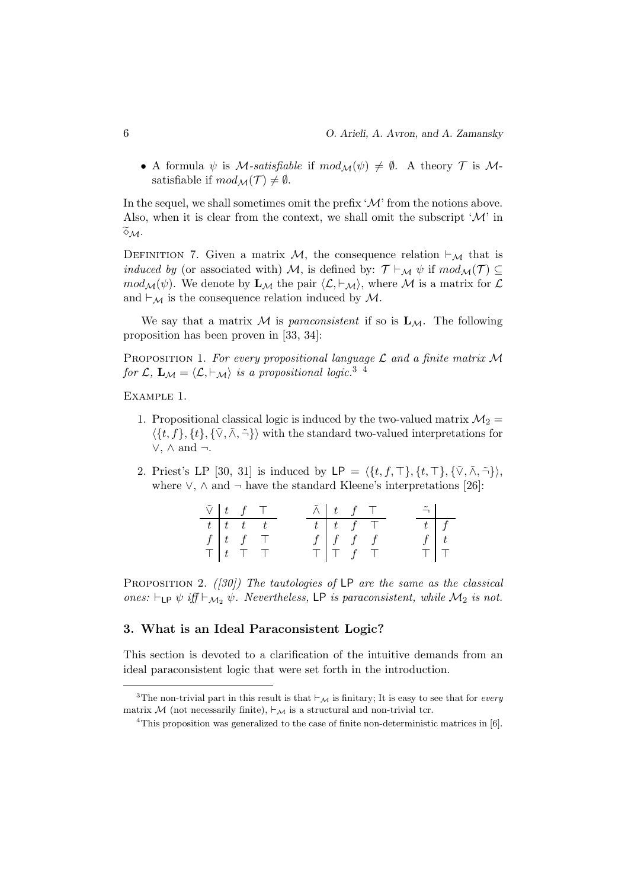• A formula  $\psi$  is M-satisfiable if  $mod_{\mathcal{M}}(\psi) \neq \emptyset$ . A theory  $\mathcal T$  is Msatisfiable if  $mod_{\mathcal{M}}(\mathcal{T}) \neq \emptyset$ .

In the sequel, we shall sometimes omit the prefix  $\mathcal{M}'$  from the notions above. Also, when it is clear from the context, we shall omit the subscript  $\mathcal{M}'$  in  $\tilde{\diamond}_\mathcal{M}.$ 

DEFINITION 7. Given a matrix M, the consequence relation  $\vdash_{\mathcal{M}}$  that is *induced by* (or associated with) M, is defined by:  $\mathcal{T} \vdash_{\mathcal{M}} \psi$  if  $mod_{\mathcal{M}}(\mathcal{T}) \subseteq$  $mod_{\mathcal{M}}(\psi)$ . We denote by  $\mathbf{L}_{\mathcal{M}}$  the pair  $\langle \mathcal{L}, \vdash_{\mathcal{M}} \rangle$ , where M is a matrix for  $\mathcal{L}$ and  $\vdash_{\mathcal{M}}$  is the consequence relation induced by  $\mathcal{M}$ .

We say that a matrix M is paraconsistent if so is  $\mathbf{L}_{\mathcal{M}}$ . The following proposition has been proven in [33, 34]:

PROPOSITION 1. For every propositional language  $\mathcal L$  and a finite matrix  $\mathcal M$ for  $\mathcal{L}, \mathbf{L}_{\mathcal{M}} = \langle \mathcal{L}, \vdash_{\mathcal{M}} \rangle$  is a propositional logic.<sup>3</sup> <sup>4</sup>

Example 1.

- 1. Propositional classical logic is induced by the two-valued matrix  $\mathcal{M}_2$  =  $\langle \{t, f\}, \{t\}, \{\tilde{\vee}, \tilde{\wedge}, \tilde{\neg}\}\rangle$  with the standard two-valued interpretations for ∨, ∧ and ¬.
- 2. Priest's LP [30, 31] is induced by LP =  $\langle \{t, f, \top\}, \{t, \top\}, \{\tilde{\vee}, \tilde{\wedge}, \tilde{\neg}\}\rangle$ , where  $\vee$ ,  $\wedge$  and  $\neg$  have the standard Kleene's interpretations [26]:

| $\tilde{\vee}$ $t$ f $\top$ |                 |                                                                                | $\tilde{\wedge}$ $t$ $f$ $\top$                                                       |  |                                                                  | ightharpoonup                                                       |  |
|-----------------------------|-----------------|--------------------------------------------------------------------------------|---------------------------------------------------------------------------------------|--|------------------------------------------------------------------|---------------------------------------------------------------------|--|
|                             | $t$ $t$ $t$ $t$ |                                                                                | $\overline{t}$ $\overline{t}$ $\overline{t}$ $\overline{f}$ $\overline{\overline{f}}$ |  |                                                                  |                                                                     |  |
|                             |                 | $\begin{array}{c cc}\nf & t & f & \top \\ \top & t & \top & \top\n\end{array}$ |                                                                                       |  | $\begin{array}{c cc}\nf & f & f \\ \top & \top & f\n\end{array}$ | $\begin{array}{c c}\n t & f \\  f & t \\  \top & \top\n\end{array}$ |  |
|                             |                 |                                                                                |                                                                                       |  |                                                                  |                                                                     |  |

PROPOSITION 2.  $(30)$  The tautologies of LP are the same as the classical ones:  $\vdash_{\mathsf{LP}} \psi$  iff  $\vdash_{\mathcal{M}_2} \psi$ . Nevertheless, LP is paraconsistent, while  $\mathcal{M}_2$  is not.

# 3. What is an Ideal Paraconsistent Logic?

This section is devoted to a clarification of the intuitive demands from an ideal paraconsistent logic that were set forth in the introduction.

<sup>&</sup>lt;sup>3</sup>The non-trivial part in this result is that  $\vdash_{\mathcal{M}}$  is finitary; It is easy to see that for *every* matrix M (not necessarily finite),  $\vdash_{\mathcal{M}}$  is a structural and non-trivial tcr.

<sup>&</sup>lt;sup>4</sup>This proposition was generalized to the case of finite non-deterministic matrices in [6].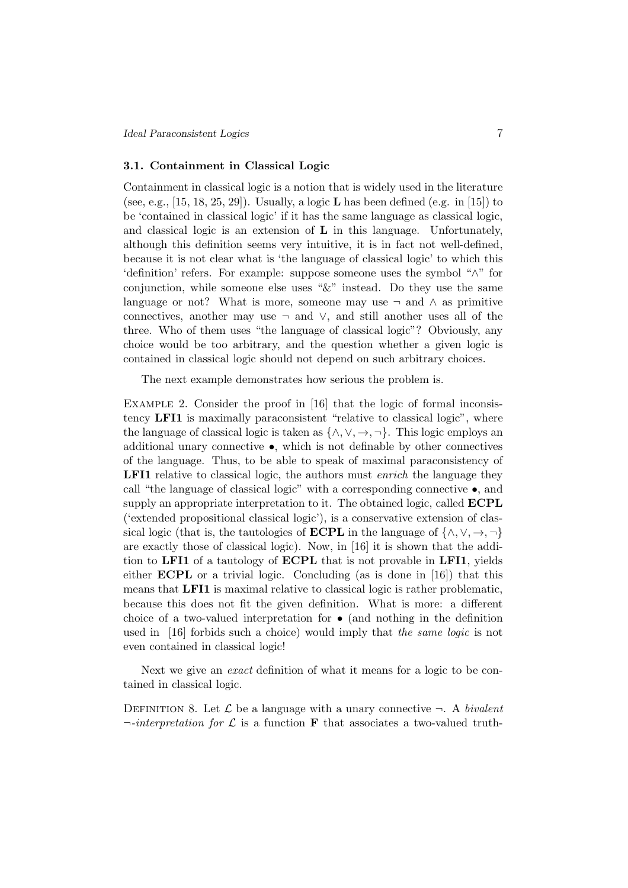#### 3.1. Containment in Classical Logic

Containment in classical logic is a notion that is widely used in the literature (see, e.g.,  $[15, 18, 25, 29]$ ). Usually, a logic **L** has been defined (e.g. in [15]) to be 'contained in classical logic' if it has the same language as classical logic, and classical logic is an extension of  $\bf{L}$  in this language. Unfortunately, although this definition seems very intuitive, it is in fact not well-defined, because it is not clear what is 'the language of classical logic' to which this 'definition' refers. For example: suppose someone uses the symbol "∧" for conjunction, while someone else uses " $\&$ " instead. Do they use the same language or not? What is more, someone may use  $\neg$  and  $\wedge$  as primitive connectives, another may use  $\neg$  and  $\vee$ , and still another uses all of the three. Who of them uses "the language of classical logic"? Obviously, any choice would be too arbitrary, and the question whether a given logic is contained in classical logic should not depend on such arbitrary choices.

The next example demonstrates how serious the problem is.

EXAMPLE 2. Consider the proof in [16] that the logic of formal inconsistency LFI1 is maximally paraconsistent "relative to classical logic", where the language of classical logic is taken as  $\{\wedge, \vee, \rightarrow, \neg\}$ . This logic employs an additional unary connective  $\bullet$ , which is not definable by other connectives of the language. Thus, to be able to speak of maximal paraconsistency of LFI1 relative to classical logic, the authors must *enrich* the language they call "the language of classical logic" with a corresponding connective •, and supply an appropriate interpretation to it. The obtained logic, called **ECPL** ('extended propositional classical logic'), is a conservative extension of classical logic (that is, the tautologies of **ECPL** in the language of  $\{\wedge, \vee, \rightarrow, \neg\}$ are exactly those of classical logic). Now, in [16] it is shown that the addition to LFI1 of a tautology of ECPL that is not provable in LFI1, yields either ECPL or a trivial logic. Concluding (as is done in [16]) that this means that LFI1 is maximal relative to classical logic is rather problematic, because this does not fit the given definition. What is more: a different choice of a two-valued interpretation for  $\bullet$  (and nothing in the definition used in [16] forbids such a choice) would imply that the same logic is not even contained in classical logic!

Next we give an exact definition of what it means for a logic to be contained in classical logic.

DEFINITION 8. Let  $\mathcal L$  be a language with a unary connective  $\neg$ . A *bivalent*  $\lnot$ -interpretation for  $\mathcal L$  is a function **F** that associates a two-valued truth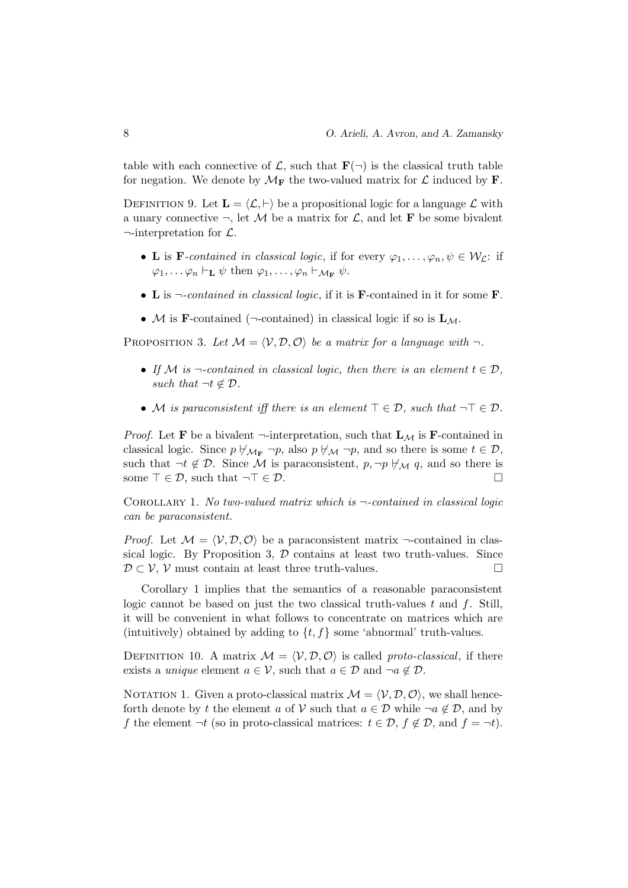table with each connective of  $\mathcal{L}$ , such that  $\mathbf{F}(\neg)$  is the classical truth table for negation. We denote by  $\mathcal{M}_{\mathbf{F}}$  the two-valued matrix for  $\mathcal{L}$  induced by **F**.

DEFINITION 9. Let  $\mathbf{L} = \langle \mathcal{L}, \vdash \rangle$  be a propositional logic for a language  $\mathcal{L}$  with a unary connective  $\neg$ , let M be a matrix for L, and let **F** be some bivalent  $\neg$ -interpretation for  $\mathcal{L}$ .

- L is F-contained in classical logic, if for every  $\varphi_1, \ldots, \varphi_n, \psi \in \mathcal{W}_C$ : if  $\varphi_1, \ldots, \varphi_n \vdash_{\mathbf{L}} \psi$  then  $\varphi_1, \ldots, \varphi_n \vdash_{\mathcal{M}_{\mathbf{F}}} \psi$ .
- L is  $\neg$ -contained in classical logic, if it is **F**-contained in it for some **F**.
- M is F-contained ( $\neg$ -contained) in classical logic if so is  $\mathbf{L}_M$ .

PROPOSITION 3. Let  $M = \langle V, D, O \rangle$  be a matrix for a language with  $\neg$ .

- If M is  $\neg$ -contained in classical logic, then there is an element  $t \in \mathcal{D}$ , such that  $\neg t \notin \mathcal{D}$ .
- M is paraconsistent iff there is an element  $\top \in \mathcal{D}$ , such that  $\neg \top \in \mathcal{D}$ .

*Proof.* Let **F** be a bivalent  $\neg$ -interpretation, such that  $\mathbf{L}_{\mathcal{M}}$  is **F**-contained in classical logic. Since  $p \nvDash_{\mathcal{M}_{\mathbf{F}}} \neg p$ , also  $p \nvDash_{\mathcal{M}} \neg p$ , and so there is some  $t \in \mathcal{D}$ , such that  $\neg t \notin \mathcal{D}$ . Since M is paraconsistent, p, $\neg p \nleftrightarrow_M q$ , and so there is some  $\top \in \mathcal{D}$ , such that  $\neg \top \in \mathcal{D}$ .

COROLLARY 1. No two-valued matrix which is  $\neg$ -contained in classical logic can be paraconsistent.

*Proof.* Let  $M = \langle V, D, O \rangle$  be a paraconsistent matrix  $\neg$ -contained in classical logic. By Proposition 3,  $D$  contains at least two truth-values. Since  $\mathcal{D} \subset \mathcal{V}, \mathcal{V}$  must contain at least three truth-values.

Corollary 1 implies that the semantics of a reasonable paraconsistent logic cannot be based on just the two classical truth-values  $t$  and  $f$ . Still, it will be convenient in what follows to concentrate on matrices which are (intuitively) obtained by adding to  $\{t, f\}$  some 'abnormal' truth-values.

DEFINITION 10. A matrix  $M = \langle V, D, O \rangle$  is called proto-classical, if there exists a *unique* element  $a \in \mathcal{V}$ , such that  $a \in \mathcal{D}$  and  $\neg a \notin \mathcal{D}$ .

NOTATION 1. Given a proto-classical matrix  $\mathcal{M} = \langle \mathcal{V}, \mathcal{D}, \mathcal{O} \rangle$ , we shall henceforth denote by t the element a of V such that  $a \in \mathcal{D}$  while  $\neg a \notin \mathcal{D}$ , and by f the element  $\neg t$  (so in proto-classical matrices:  $t \in \mathcal{D}$ ,  $f \notin \mathcal{D}$ , and  $f = \neg t$ ).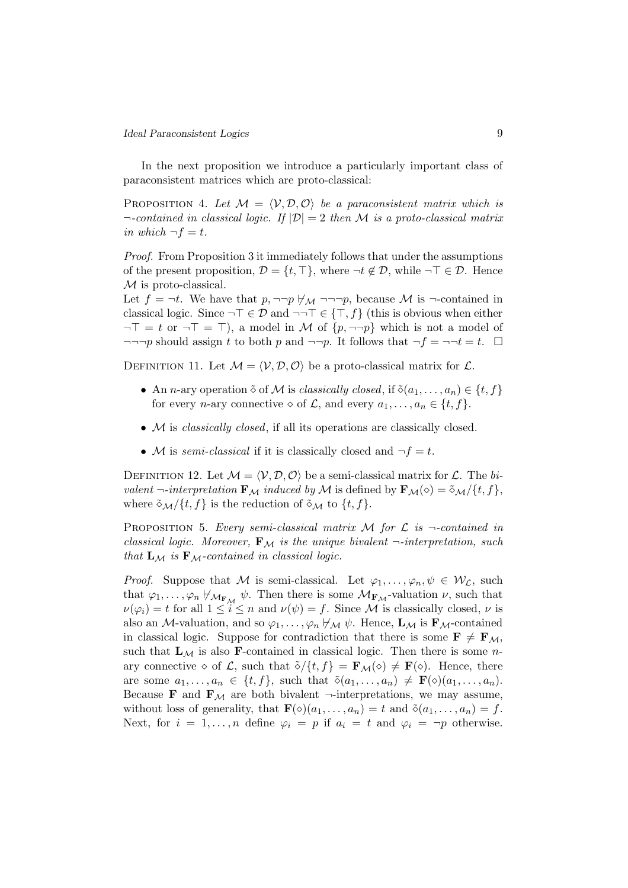In the next proposition we introduce a particularly important class of paraconsistent matrices which are proto-classical:

PROPOSITION 4. Let  $M = \langle V, D, O \rangle$  be a paraconsistent matrix which is  $\neg$ -contained in classical logic. If  $|\mathcal{D}| = 2$  then M is a proto-classical matrix in which  $\neg f = t$ .

Proof. From Proposition 3 it immediately follows that under the assumptions of the present proposition,  $\mathcal{D} = \{t, \top\}$ , where  $\neg t \notin \mathcal{D}$ , while  $\neg \top \in \mathcal{D}$ . Hence  ${\mathcal M}$  is proto-classical.

Let  $f = \neg t$ . We have that  $p, \neg \neg p \nleftrightarrow_{\mathcal{M}} \neg \neg \neg p$ , because M is  $\neg$ -contained in classical logic. Since  $\neg \top \in \mathcal{D}$  and  $\neg \top \in \{\top, f\}$  (this is obvious when either  $\neg\top = t$  or  $\neg\top = \top$ ), a model in M of  $\{p, \neg\neg p\}$  which is not a model of  $\neg\neg\neg p$  should assign t to both p and  $\neg\neg p$ . It follows that  $\neg f = \neg\neg t = t$ .  $\Box$ 

DEFINITION 11. Let  $\mathcal{M} = \langle \mathcal{V}, \mathcal{D}, \mathcal{O} \rangle$  be a proto-classical matrix for  $\mathcal{L}$ .

- An *n*-ary operation  $\tilde{\diamond}$  of M is *classically closed*, if  $\tilde{\diamond}(a_1, \ldots, a_n) \in \{t, f\}$ for every *n*-ary connective  $\diamond$  of  $\mathcal{L}$ , and every  $a_1, \ldots, a_n \in \{t, f\}.$
- M is *classically closed*, if all its operations are classically closed.
- M is semi-classical if it is classically closed and  $\neg f = t$ .

DEFINITION 12. Let  $\mathcal{M} = \langle \mathcal{V}, \mathcal{D}, \mathcal{O} \rangle$  be a semi-classical matrix for  $\mathcal{L}$ . The bivalent ¬-interpretation  $\mathbf{F}_{\mathcal{M}}$  induced by  $\mathcal{M}$  is defined by  $\mathbf{F}_{\mathcal{M}}(\diamond) = \tilde{\diamond}_{\mathcal{M}}/\{t, f\},\$ where  $\delta \mathcal{M}/\{t, f\}$  is the reduction of  $\delta \mathcal{M}$  to  $\{t, f\}$ .

PROPOSITION 5. Every semi-classical matrix  $M$  for  $\mathcal L$  is  $\neg$ -contained in classical logic. Moreover,  $\mathbf{F}_{\mathcal{M}}$  is the unique bivalent  $\neg$ -interpretation, such that  $\mathbf{L}_{\mathcal{M}}$  is  $\mathbf{F}_{\mathcal{M}}$ -contained in classical logic.

*Proof.* Suppose that M is semi-classical. Let  $\varphi_1, \ldots, \varphi_n, \psi \in \mathcal{W}_{\mathcal{L}}$ , such that  $\varphi_1, \ldots, \varphi_n \not\vdash_{\mathcal{M}_{\mathbf{F}_\mathcal{M}}} \psi$ . Then there is some  $\mathcal{M}_{\mathbf{F}_\mathcal{M}}$ -valuation  $\nu$ , such that  $\nu(\varphi_i) = t$  for all  $1 \leq i \leq n$  and  $\nu(\psi) = f$ . Since M is classically closed,  $\nu$  is also an M-valuation, and so  $\varphi_1, \ldots, \varphi_n \not\vdash_M \psi$ . Hence,  $\mathbf{L}_M$  is  $\mathbf{F}_M$ -contained in classical logic. Suppose for contradiction that there is some  $\mathbf{F} \neq \mathbf{F}_{\mathcal{M}}$ , such that  $L_M$  is also **F**-contained in classical logic. Then there is some *n*ary connective  $\diamond$  of  $\mathcal{L}$ , such that  $\tilde{\diamond}/\{t, f\} = \mathbf{F}_{\mathcal{M}}(\diamond) \neq \mathbf{F}(\diamond)$ . Hence, there are some  $a_1, \ldots, a_n \in \{t, f\}$ , such that  $\tilde{\diamond}(a_1, \ldots, a_n) \neq \mathbf{F}(\diamond)(a_1, \ldots, a_n)$ . Because **F** and  $\mathbf{F}_{\mathcal{M}}$  are both bivalent  $\neg$ -interpretations, we may assume, without loss of generality, that  $\mathbf{F}(\diamond)(a_1, \ldots, a_n) = t$  and  $\tilde{\diamond}(a_1, \ldots, a_n) = f$ . Next, for  $i = 1, ..., n$  define  $\varphi_i = p$  if  $a_i = t$  and  $\varphi_i = \neg p$  otherwise.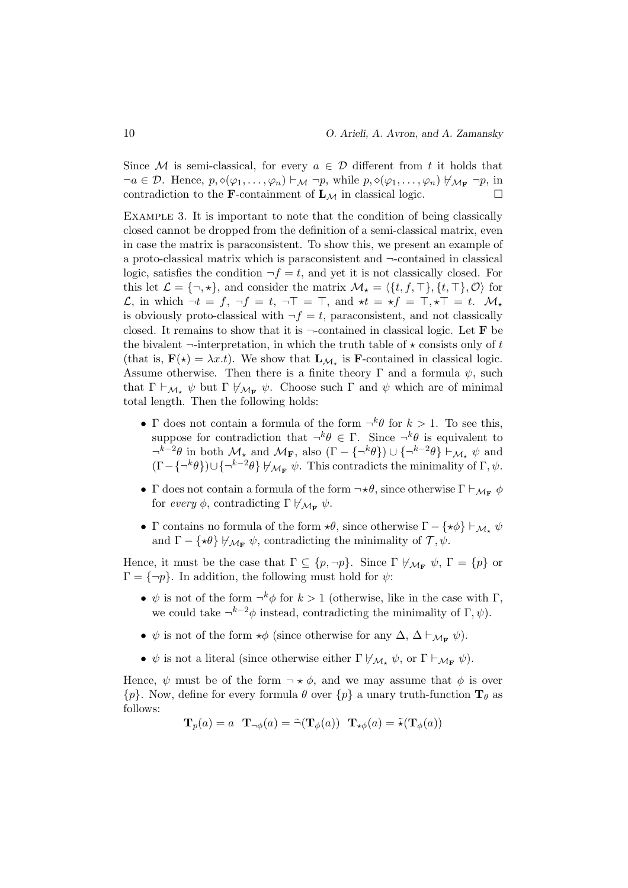Since M is semi-classical, for every  $a \in \mathcal{D}$  different from t it holds that  $\neg a \in \mathcal{D}$ . Hence,  $p, \diamond(\varphi_1, \ldots, \varphi_n) \vdash_{\mathcal{M}} \neg p$ , while  $p, \diamond(\varphi_1, \ldots, \varphi_n) \not\vdash_{\mathcal{M}_{\mathbf{F}}} \neg p$ , in contradiction to the **F**-containment of  $L_M$  in classical logic.

Example 3. It is important to note that the condition of being classically closed cannot be dropped from the definition of a semi-classical matrix, even in case the matrix is paraconsistent. To show this, we present an example of a proto-classical matrix which is paraconsistent and ¬-contained in classical logic, satisfies the condition  $\neg f = t$ , and yet it is not classically closed. For this let  $\mathcal{L} = \{\neg, \star\},\$ and consider the matrix  $\mathcal{M}_{\star} = \langle \{t, f, \top\}, \{t, \top\}, \mathcal{O} \rangle$  for  $\mathcal{L}$ , in which  $\neg t = f$ ,  $\neg f = t$ ,  $\neg \top = \top$ , and  $\star t = \star f = \top, \star \top = t$ .  $\mathcal{M}_{\star}$ is obviously proto-classical with  $\neg f = t$ , paraconsistent, and not classically closed. It remains to show that it is  $\neg$ -contained in classical logic. Let **F** be the bivalent  $\neg$ -interpretation, in which the truth table of  $\star$  consists only of t (that is,  $\mathbf{F}(\star) = \lambda x.t$ ). We show that  $\mathbf{L}_{\mathcal{M}_{\star}}$  is **F**-contained in classical logic. Assume otherwise. Then there is a finite theory  $\Gamma$  and a formula  $\psi$ , such that  $\Gamma \vdash_{\mathcal{M}_{\star}} \psi$  but  $\Gamma \not\models_{\mathcal{M}_{\mathbf{F}}} \psi$ . Choose such  $\Gamma$  and  $\psi$  which are of minimal total length. Then the following holds:

- $\Gamma$  does not contain a formula of the form  $\neg^k \theta$  for  $k > 1$ . To see this, suppose for contradiction that  $\neg^k \theta \in \Gamma$ . Since  $\neg^k \theta$  is equivalent to  $\neg^{k-2}\theta$  in both  $\mathcal{M}_{\star}$  and  $\mathcal{M}_{\mathbf{F}}$ , also  $(\Gamma - \{\neg^k\theta\}) \cup \{\neg^{k-2}\theta\} \vdash_{\mathcal{M}_{\star}} \psi$  and  $(\Gamma - {\{\neg^k\theta\}}) \cup {\{\neg^{k-2}\theta\}} \nvDash_{\mathcal{M}_{\mathbf{F}}} \psi$ . This contradicts the minimality of  $\Gamma, \psi$ .
- Γ does not contain a formula of the form  $\neg\star\theta$ , since otherwise  $\Gamma\vdash_{\mathcal{M}_{\mathbf{F}}}\phi$ for every  $\phi$ , contradicting  $\Gamma \not\vdash_{\mathcal{M}_{\mathbf{F}}} \psi$ .
- Γ contains no formula of the form  $\star \theta$ , since otherwise  $\Gamma {\star \phi} \vdash_{\mathcal{M}_{\star}} \psi$ and  $\Gamma - \{\star \theta\} \not\vdash_{\mathcal{M}_{\mathbf{F}}} \psi$ , contradicting the minimality of  $\mathcal{T}, \psi$ .

Hence, it must be the case that  $\Gamma \subseteq \{p, \neg p\}$ . Since  $\Gamma \not\vdash_{\mathcal{M}_{\mathbf{F}}} \psi$ ,  $\Gamma = \{p\}$  or  $\Gamma = \{\neg p\}.$  In addition, the following must hold for  $\psi$ :

- $\psi$  is not of the form  $\neg^k \phi$  for  $k > 1$  (otherwise, like in the case with  $\Gamma$ , we could take  $\neg^{k-2}\phi$  instead, contradicting the minimality of  $\Gamma, \psi$ ).
- $\psi$  is not of the form  $\star \phi$  (since otherwise for any  $\Delta$ ,  $\Delta \vdash_{\mathcal{M}_{\mathbf{F}}} \psi$ ).
- $\psi$  is not a literal (since otherwise either  $\Gamma \not\vdash_{\mathcal{M}_{\star}} \psi$ , or  $\Gamma \vdash_{\mathcal{M}_{\mathbf{F}}} \psi$ ).

Hence,  $\psi$  must be of the form  $\neg \star \phi$ , and we may assume that  $\phi$  is over  $\{p\}$ . Now, define for every formula  $\theta$  over  $\{p\}$  a unary truth-function  $\mathbf{T}_{\theta}$  as follows:

$$
\mathbf{T}_p(a) = a \quad \mathbf{T}_{\neg \phi}(a) = \tilde{\neg}(\mathbf{T}_{\phi}(a)) \quad \mathbf{T}_{\star \phi}(a) = \tilde{\star}(\mathbf{T}_{\phi}(a))
$$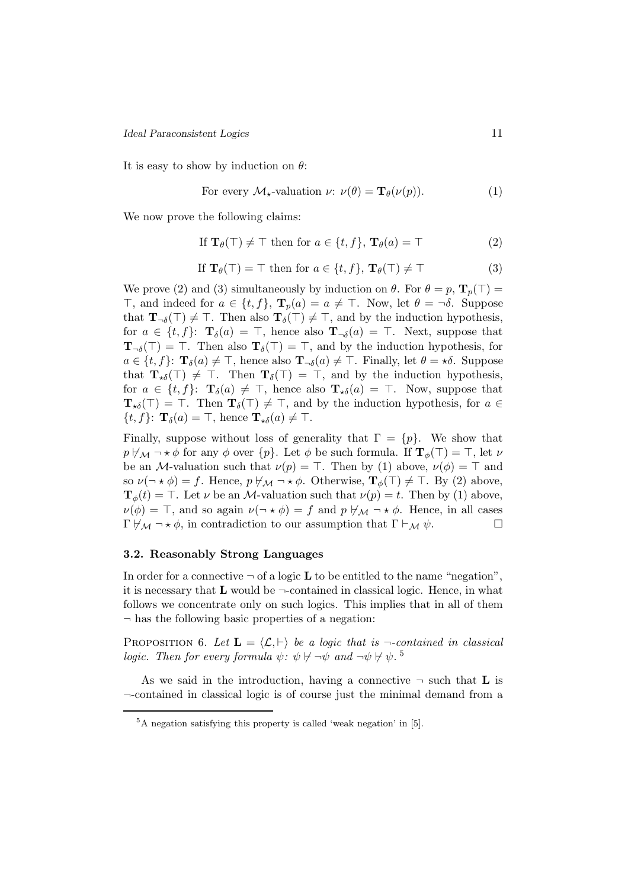It is easy to show by induction on  $\theta$ :

For every 
$$
\mathcal{M}_{\star}
$$
-valuation  $\nu$ :  $\nu(\theta) = \mathbf{T}_{\theta}(\nu(p))$ . (1)

We now prove the following claims:

If 
$$
\mathbf{T}_{\theta}(\top) \neq \top
$$
 then for  $a \in \{t, f\}$ ,  $\mathbf{T}_{\theta}(a) = \top$  (2)

If 
$$
\mathbf{T}_{\theta}(\top) = \top
$$
 then for  $a \in \{t, f\}$ ,  $\mathbf{T}_{\theta}(\top) \neq \top$  (3)

We prove (2) and (3) simultaneously by induction on  $\theta$ . For  $\theta = p$ ,  $\mathbf{T}_p(\top) =$ ⊤, and indeed for  $a \in \{t, f\}$ ,  $\mathbf{T}_p(a) = a \neq \top$ . Now, let  $\theta = \neg \delta$ . Suppose that  $\mathbf{T}_{\neg \delta}(\top) \neq \top$ . Then also  $\mathbf{T}_{\delta}(\top) \neq \top$ , and by the induction hypothesis, for  $a \in \{t, f\}$ :  $\mathbf{T}_{\delta}(a) = \top$ , hence also  $\mathbf{T}_{\neg \delta}(a) = \top$ . Next, suppose that  $\mathbf{T}_{\neg \delta}(\top) = \top$ . Then also  $\mathbf{T}_{\delta}(\top) = \top$ , and by the induction hypothesis, for  $a \in \{t, f\}$ :  $\mathbf{T}_{\delta}(a) \neq \top$ , hence also  $\mathbf{T}_{\neg \delta}(a) \neq \top$ . Finally, let  $\theta = \star \delta$ . Suppose that  $\mathbf{T}_{\star\delta}(\top) \neq \top$ . Then  $\mathbf{T}_{\delta}(\top) = \top$ , and by the induction hypothesis, for  $a \in \{t, f\}$ :  $\mathbf{T}_{\delta}(a) \neq \top$ , hence also  $\mathbf{T}_{\star \delta}(a) = \top$ . Now, suppose that  $\mathbf{T}_{\star\delta}(\top) = \top$ . Then  $\mathbf{T}_{\delta}(\top) \neq \top$ , and by the induction hypothesis, for  $a \in$  $\{t, f\}$ :  $\mathbf{T}_{\delta}(a) = \top$ , hence  $\mathbf{T}_{\star\delta}(a) \neq \top$ .

Finally, suppose without loss of generality that  $\Gamma = \{p\}$ . We show that  $p \nvdash_{\mathcal{M}} \neg \star \phi$  for any  $\phi$  over  $\{p\}$ . Let  $\phi$  be such formula. If  $\mathbf{T}_{\phi}(\top) = \top$ , let  $\nu$ be an M-valuation such that  $\nu(p) = \top$ . Then by (1) above,  $\nu(\phi) = \top$  and so  $\nu(\neg \star \phi) = f$ . Hence,  $p \not\vdash_{\mathcal{M}} \neg \star \phi$ . Otherwise,  $\mathbf{T}_{\phi}(\top) \neq \top$ . By (2) above,  $\mathbf{T}_{\phi}(t) = \top$ . Let  $\nu$  be an M-valuation such that  $\nu(p) = t$ . Then by (1) above,  $\nu(\phi) = \top$ , and so again  $\nu(\neg \star \phi) = f$  and  $p \not\vdash_{\mathcal{M}} \neg \star \phi$ . Hence, in all cases  $\Gamma \not\vdash_{\mathcal{M}} \neg \star \phi$ , in contradiction to our assumption that  $\Gamma \vdash_{\mathcal{M}} \psi$ .

# 3.2. Reasonably Strong Languages

In order for a connective  $\neg$  of a logic **L** to be entitled to the name "negation", it is necessary that  $\bf{L}$  would be  $\neg$ -contained in classical logic. Hence, in what follows we concentrate only on such logics. This implies that in all of them  $\neg$  has the following basic properties of a negation:

PROPOSITION 6. Let  $\mathbf{L} = \langle \mathcal{L}, \vdash \rangle$  be a logic that is  $\neg$ -contained in classical logic. Then for every formula  $\psi: \psi \nvdash \neg \psi$  and  $\neg \psi \nvdash \psi$ .<sup>5</sup>

As we said in the introduction, having a connective  $\neg$  such that **L** is ¬-contained in classical logic is of course just the minimal demand from a

<sup>5</sup>A negation satisfying this property is called 'weak negation' in [5].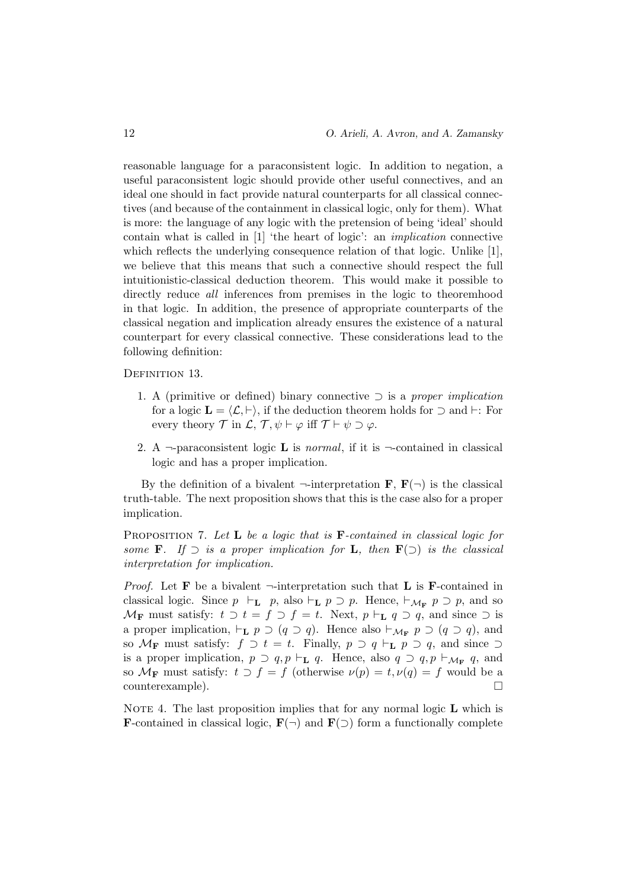reasonable language for a paraconsistent logic. In addition to negation, a useful paraconsistent logic should provide other useful connectives, and an ideal one should in fact provide natural counterparts for all classical connectives (and because of the containment in classical logic, only for them). What is more: the language of any logic with the pretension of being 'ideal' should contain what is called in [1] 'the heart of logic': an implication connective which reflects the underlying consequence relation of that logic. Unlike [1], we believe that this means that such a connective should respect the full intuitionistic-classical deduction theorem. This would make it possible to directly reduce *all* inferences from premises in the logic to theoremhood in that logic. In addition, the presence of appropriate counterparts of the classical negation and implication already ensures the existence of a natural counterpart for every classical connective. These considerations lead to the following definition:

DEFINITION 13.

- 1. A (primitive or defined) binary connective  $\supset$  is a proper implication for a logic  $\mathbf{L} = \langle \mathcal{L}, \vdash \rangle$ , if the deduction theorem holds for  $\supset$  and  $\vdash$ : For every theory  $\mathcal T$  in  $\mathcal L$ ,  $\mathcal T$ ,  $\psi \vdash \varphi$  iff  $\mathcal T \vdash \psi \supset \varphi$ .
- 2. A  $\neg$ -paraconsistent logic **L** is *normal*, if it is  $\neg$ -contained in classical logic and has a proper implication.

By the definition of a bivalent  $\neg$ -interpretation **F**, **F**( $\neg$ ) is the classical truth-table. The next proposition shows that this is the case also for a proper implication.

PROPOSITION 7. Let **L** be a logic that is  $\mathbf{F}$ -contained in classical logic for some **F**. If  $\supset$  is a proper implication for **L**, then **F**( $\supset$ ) is the classical interpretation for implication.

*Proof.* Let **F** be a bivalent  $\neg$ -interpretation such that **L** is **F**-contained in classical logic. Since  $p \vdash_L p$ , also  $\vdash_L p \supset p$ . Hence,  $\vdash_{\mathcal{M}_F} p \supset p$ , and so  $\mathcal{M}_{\mathbf{F}}$  must satisfy:  $t \supset t = f \supset f = t$ . Next,  $p \vdash_{\mathbf{L}} q \supset q$ , and since  $\supset$  is a proper implication,  $\vdash_{\mathbf{L}} p \supset (q \supset q)$ . Hence also  $\vdash_{\mathcal{M}_{\mathbf{F}}} p \supset (q \supset q)$ , and so  $\mathcal{M}_F$  must satisfy:  $f \supset t = t$ . Finally,  $p \supset q \vdash_L p \supset q$ , and since  $\supset$ is a proper implication,  $p \supset q, p \vdash_{\mathbf{L}} q$ . Hence, also  $q \supset q, p \vdash_{\mathcal{M}_{\mathbf{F}}} q$ , and so  $\mathcal{M}_{\mathbf{F}}$  must satisfy:  $t \supset f = f$  (otherwise  $\nu(p) = t, \nu(q) = f$  would be a counterexample).

NOTE 4. The last proposition implies that for any normal logic  **which is** F-contained in classical logic,  $\mathbf{F}(\neg)$  and  $\mathbf{F}(\supset)$  form a functionally complete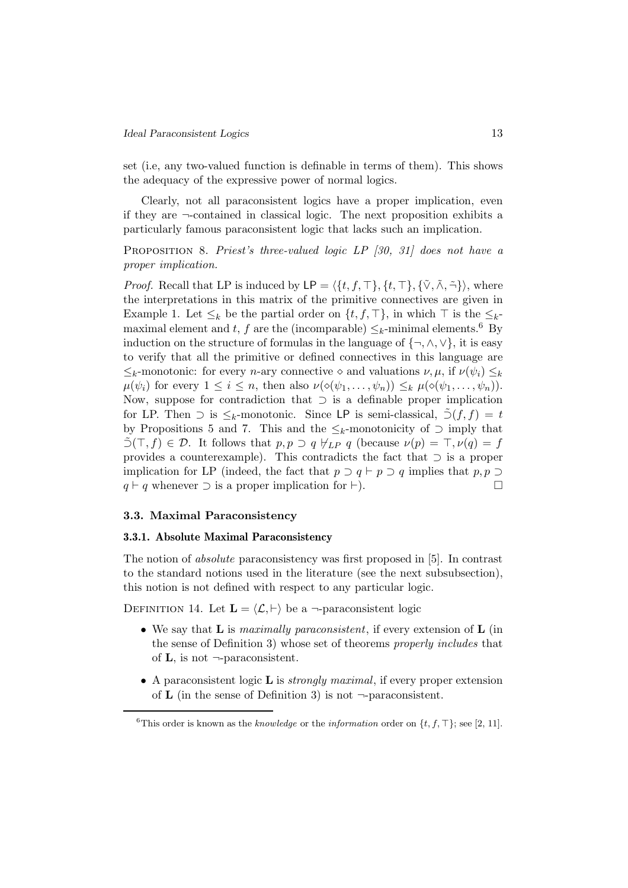set (i.e, any two-valued function is definable in terms of them). This shows the adequacy of the expressive power of normal logics.

Clearly, not all paraconsistent logics have a proper implication, even if they are ¬-contained in classical logic. The next proposition exhibits a particularly famous paraconsistent logic that lacks such an implication.

PROPOSITION 8. Priest's three-valued logic LP [30, 31] does not have a proper implication.

*Proof.* Recall that LP is induced by  $\mathsf{LP} = \langle \{t, f, \top \}, \{t, \top \}, \{\tilde{\vee}, \tilde{\wedge}, \tilde{\neg} \}\rangle$ , where the interpretations in this matrix of the primitive connectives are given in Example 1. Let  $\leq_k$  be the partial order on  $\{t, f, \top\}$ , in which  $\top$  is the  $\leq_k$ maximal element and t, f are the (incomparable)  $\leq_k$ -minimal elements.<sup>6</sup> By induction on the structure of formulas in the language of  $\{\neg, \wedge, \vee\}$ , it is easy to verify that all the primitive or defined connectives in this language are  $\leq_k$ -monotonic: for every *n*-ary connective  $\diamond$  and valuations  $\nu, \mu$ , if  $\nu(\psi_i) \leq_k$  $\mu(\psi_i)$  for every  $1 \leq i \leq n$ , then also  $\nu(\diamond(\psi_1,\ldots,\psi_n)) \leq_k \mu(\diamond(\psi_1,\ldots,\psi_n)).$ Now, suppose for contradiction that  $\supset$  is a definable proper implication for LP. Then  $\supset$  is  $\leq_k$ -monotonic. Since LP is semi-classical,  $\tilde{\supset}(f, f) = t$ by Propositions 5 and 7. This and the  $\leq_k$ -monotonicity of  $\supset$  imply that  $\tilde{\supset}(\top, f) \in \mathcal{D}$ . It follows that  $p, p \supset q \nmid_{LP} q$  (because  $\nu(p) = \top, \nu(q) = f$ provides a counterexample). This contradicts the fact that ⊃ is a proper implication for LP (indeed, the fact that  $p \supset q \vdash p \supset q$  implies that  $p, p \supset q$  $q \vdash q$  whenever  $\supset$  is a proper implication for  $\vdash$ ).

# 3.3. Maximal Paraconsistency

### 3.3.1. Absolute Maximal Paraconsistency

The notion of absolute paraconsistency was first proposed in [5]. In contrast to the standard notions used in the literature (see the next subsubsection), this notion is not defined with respect to any particular logic.

DEFINITION 14. Let  $\mathbf{L} = \langle \mathcal{L}, \vdash \rangle$  be a  $\neg$ -paraconsistent logic

- We say that **L** is maximally paraconsistent, if every extension of **L** (in the sense of Definition 3) whose set of theorems properly includes that of  $\mathbf{L}$ , is not  $\neg$ -paraconsistent.
- A paraconsistent logic **L** is *strongly maximal*, if every proper extension of **L** (in the sense of Definition 3) is not  $\neg$ -paraconsistent.

<sup>&</sup>lt;sup>6</sup>This order is known as the *knowledge* or the *information* order on  $\{t, f, \top\}$ ; see [2, 11].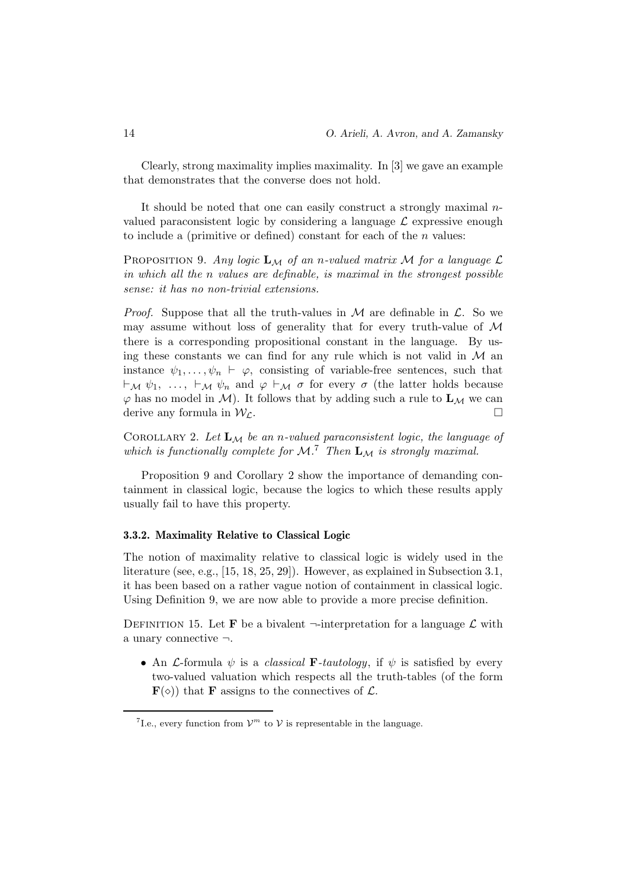Clearly, strong maximality implies maximality. In [3] we gave an example that demonstrates that the converse does not hold.

It should be noted that one can easily construct a strongly maximal  $n$ valued paraconsistent logic by considering a language  $\mathcal L$  expressive enough to include a (primitive or defined) constant for each of the  $n$  values:

PROPOSITION 9. Any logic  $\mathbf{L}_{\mathcal{M}}$  of an n-valued matrix M for a language  $\mathcal{L}$ in which all the n values are definable, is maximal in the strongest possible sense: it has no non-trivial extensions.

*Proof.* Suppose that all the truth-values in M are definable in  $\mathcal{L}$ . So we may assume without loss of generality that for every truth-value of  $\mathcal M$ there is a corresponding propositional constant in the language. By using these constants we can find for any rule which is not valid in  $M$  an instance  $\psi_1, \ldots, \psi_n \vdash \varphi$ , consisting of variable-free sentences, such that  $\vdash_{\mathcal{M}} \psi_1, \ldots, \vdash_{\mathcal{M}} \psi_n$  and  $\varphi \vdash_{\mathcal{M}} \sigma$  for every  $\sigma$  (the latter holds because  $\varphi$  has no model in M). It follows that by adding such a rule to  $\mathbf{L}_{\mathcal{M}}$  we can derive any formula in  $W_{\mathcal{L}}$ .

COROLLARY 2. Let  $\mathbf{L}_{\mathcal{M}}$  be an n-valued paraconsistent logic, the language of which is functionally complete for  $\mathcal{M}.^7$  Then  $\mathbf{L}_{\mathcal{M}}$  is strongly maximal.

Proposition 9 and Corollary 2 show the importance of demanding containment in classical logic, because the logics to which these results apply usually fail to have this property.

# 3.3.2. Maximality Relative to Classical Logic

The notion of maximality relative to classical logic is widely used in the literature (see, e.g., [15, 18, 25, 29]). However, as explained in Subsection 3.1, it has been based on a rather vague notion of containment in classical logic. Using Definition 9, we are now able to provide a more precise definition.

DEFINITION 15. Let **F** be a bivalent  $\neg$ -interpretation for a language  $\mathcal{L}$  with a unary connective ¬.

• An *L*-formula  $\psi$  is a *classical* **F**-tautology, if  $\psi$  is satisfied by every two-valued valuation which respects all the truth-tables (of the form **) that <b>F** assigns to the connectives of  $\mathcal{L}$ .

<sup>&</sup>lt;sup>7</sup>I.e., every function from  $\mathcal{V}^m$  to  $\mathcal{V}$  is representable in the language.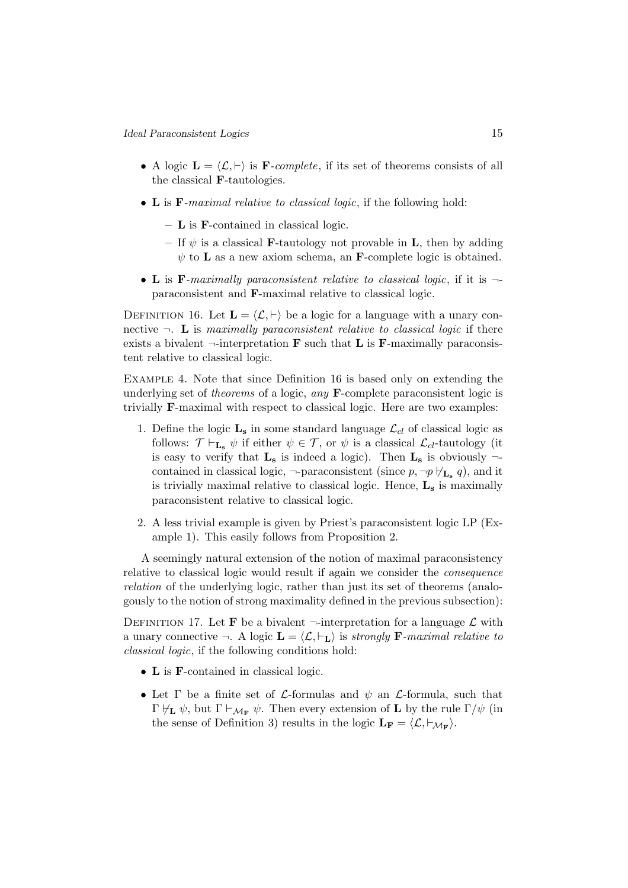- A logic  $\mathbf{L} = \langle \mathcal{L}, \vdash \rangle$  is **F**-complete, if its set of theorems consists of all the classical F-tautologies.
- L is F-maximal relative to classical logic, if the following hold:
	- $-$  **L** is **F**-contained in classical logic.
	- If  $\psi$  is a classical **F**-tautology not provable in **L**, then by adding  $\psi$  to **L** as a new axiom schema, an **F**-complete logic is obtained.
- L is F-maximally paraconsistent relative to classical logic, if it is  $\neg$ paraconsistent and F-maximal relative to classical logic.

DEFINITION 16. Let  $\mathbf{L} = \langle \mathcal{L}, \vdash \rangle$  be a logic for a language with a unary connective  $\neg$ . L is maximally paraconsistent relative to classical logic if there exists a bivalent  $\neg$ -interpretation **F** such that **L** is **F**-maximally paraconsistent relative to classical logic.

Example 4. Note that since Definition 16 is based only on extending the underlying set of *theorems* of a logic, *any*  $\mathbf{F}$ -complete paraconsistent logic is trivially F-maximal with respect to classical logic. Here are two examples:

- 1. Define the logic  $\mathbf{L}_s$  in some standard language  $\mathcal{L}_{cl}$  of classical logic as follows:  $\mathcal{T} \vdash_{\mathbf{L}_{\mathbf{s}}} \psi$  if either  $\psi \in \mathcal{T}$ , or  $\psi$  is a classical  $\mathcal{L}_{cl}$ -tautology (it is easy to verify that  $\mathbf{L}_s$  is indeed a logic). Then  $\mathbf{L}_s$  is obviously  $\neg$ contained in classical logic,  $\neg$ -paraconsistent (since  $p, \neg p \not\vdash_{\mathbf{L_s}} q$ ), and it is trivially maximal relative to classical logic. Hence,  $L_s$  is maximally paraconsistent relative to classical logic.
- 2. A less trivial example is given by Priest's paraconsistent logic LP (Example 1). This easily follows from Proposition 2.

A seemingly natural extension of the notion of maximal paraconsistency relative to classical logic would result if again we consider the consequence relation of the underlying logic, rather than just its set of theorems (analogously to the notion of strong maximality defined in the previous subsection):

DEFINITION 17. Let **F** be a bivalent  $\neg$ -interpretation for a language  $\mathcal{L}$  with a unary connective  $\neg$ . A logic  $\mathbf{L} = \langle \mathcal{L}, \vdash_{\mathbf{L}} \rangle$  is strongly **F**-maximal relative to classical logic, if the following conditions hold:

- L is **F**-contained in classical logic.
- Let  $\Gamma$  be a finite set of *L*-formulas and  $\psi$  an *L*-formula, such that  $Γ \nvdash_L ψ$ , but  $Γ \vdash_{M_F} ψ$ . Then every extension of **L** by the rule Γ/ψ (in the sense of Definition 3) results in the logic  $\mathbf{L}_{\mathbf{F}} = \langle \mathcal{L}, \vdash_{\mathcal{M}_{\mathbf{F}}} \rangle$ .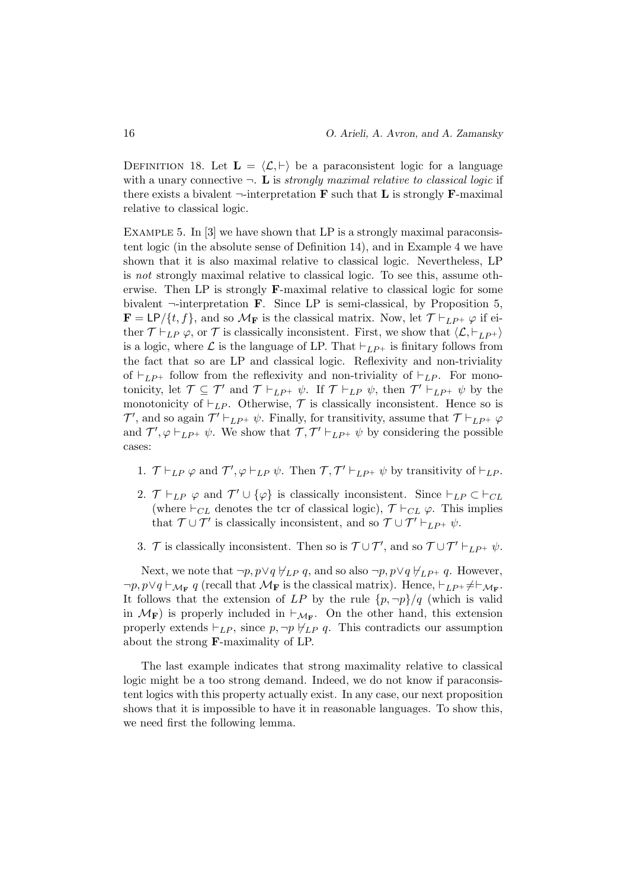DEFINITION 18. Let  $\mathbf{L} = \langle \mathcal{L}, \vdash \rangle$  be a paraconsistent logic for a language with a unary connective  $\neg$ . L is *strongly maximal relative to classical logic* if there exists a bivalent  $\neg$ -interpretation **F** such that **L** is strongly **F**-maximal relative to classical logic.

EXAMPLE 5. In  $[3]$  we have shown that LP is a strongly maximal paraconsistent logic (in the absolute sense of Definition 14), and in Example 4 we have shown that it is also maximal relative to classical logic. Nevertheless, LP is not strongly maximal relative to classical logic. To see this, assume otherwise. Then LP is strongly F-maximal relative to classical logic for some bivalent  $\neg$ -interpretation **F**. Since LP is semi-classical, by Proposition 5,  $\mathbf{F} = \mathsf{LP}/\{t, f\}$ , and so  $\mathcal{M}_{\mathbf{F}}$  is the classical matrix. Now, let  $\mathcal{T} \vdash_{LP^+} \varphi$  if either  $\mathcal{T} \vdash_{LP} \varphi$ , or  $\mathcal{T}$  is classically inconsistent. First, we show that  $\langle \mathcal{L}, \vdash_{LP^+} \rangle$ is a logic, where L is the language of LP. That  $\vdash_{LP^+}$  is finitary follows from the fact that so are LP and classical logic. Reflexivity and non-triviality of  $\vdash_{LP^+}$  follow from the reflexivity and non-triviality of  $\vdash_{LP}$ . For monotonicity, let  $\mathcal{T} \subseteq \mathcal{T}'$  and  $\mathcal{T} \vdash_{LP^+} \psi$ . If  $\mathcal{T} \vdash_{LP} \psi$ , then  $\mathcal{T}' \vdash_{LP^+} \psi$  by the monotonicity of  $\vdash_{LP}$ . Otherwise,  $\mathcal T$  is classically inconsistent. Hence so is  $\mathcal{T}'$ , and so again  $\mathcal{T}' \vdash_{LP^+} \psi$ . Finally, for transitivity, assume that  $\mathcal{T} \vdash_{LP^+} \varphi$ and  $\mathcal{T}', \varphi \vdash_{LP^+} \psi$ . We show that  $\mathcal{T}, \mathcal{T}' \vdash_{LP^+} \psi$  by considering the possible cases:

- 1.  $\mathcal{T} \vdash_{LP} \varphi$  and  $\mathcal{T}', \varphi \vdash_{LP} \psi$ . Then  $\mathcal{T}, \mathcal{T}' \vdash_{LP^+} \psi$  by transitivity of  $\vdash_{LP}$ .
- 2.  $\mathcal{T} \vdash_{LP} \varphi$  and  $\mathcal{T}' \cup {\varphi}$  is classically inconsistent. Since  $\vdash_{LP} \subset \vdash_{CL}$ (where  $\vdash_{CL}$  denotes the tcr of classical logic),  $\mathcal{T} \vdash_{CL} \varphi$ . This implies that  $\mathcal{T} \cup \mathcal{T}'$  is classically inconsistent, and so  $\mathcal{T} \cup \mathcal{T}' \vdash_{LP^+} \psi$ .
- 3. T is classically inconsistent. Then so is  $\mathcal{T} \cup \mathcal{T}'$ , and so  $\mathcal{T} \cup \mathcal{T}' \vdash_{LP^+} \psi$ .

Next, we note that  $\neg p, p \lor q \not\vdash_{LP} q$ , and so also  $\neg p, p \lor q \not\vdash_{LP} q$ . However,  $\neg p, p \lor q \vdash_{\mathcal{M}_{\mathbf{F}}} q$  (recall that  $\mathcal{M}_{\mathbf{F}}$  is the classical matrix). Hence,  $\vdash_{LP^+} \neq \vdash_{\mathcal{M}_{\mathbf{F}}}$ . It follows that the extension of LP by the rule  $\{p, \neg p\}/q$  (which is valid in  $\mathcal{M}_{\mathbf{F}}$ ) is properly included in  $\vdash_{\mathcal{M}_{\mathbf{F}}}$ . On the other hand, this extension properly extends  $\vdash_{LP}$ , since  $p, \neg p \not\vdash_{LP} q$ . This contradicts our assumption about the strong F-maximality of LP.

The last example indicates that strong maximality relative to classical logic might be a too strong demand. Indeed, we do not know if paraconsistent logics with this property actually exist. In any case, our next proposition shows that it is impossible to have it in reasonable languages. To show this, we need first the following lemma.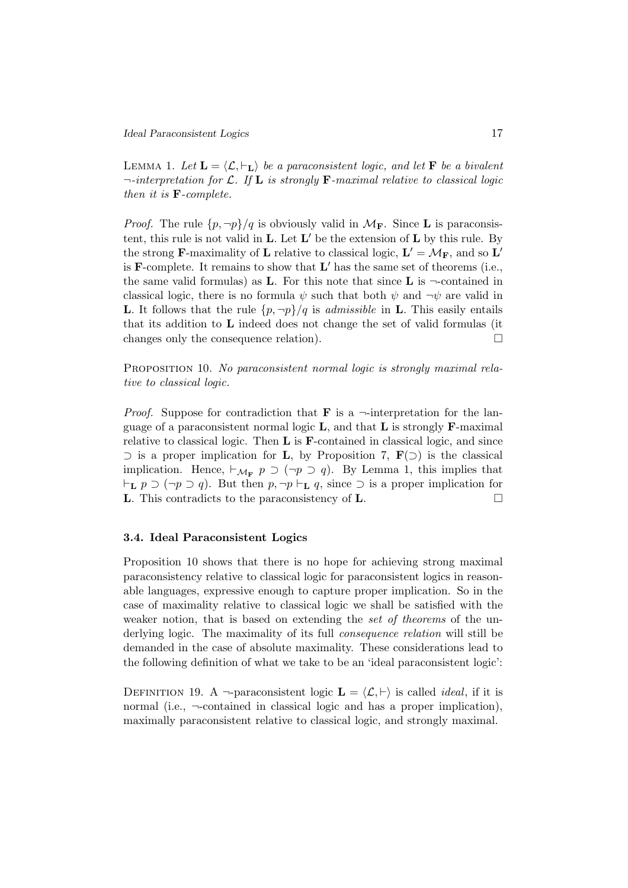LEMMA 1. Let  $\mathbf{L} = \langle \mathcal{L}, \vdash_{\mathbf{L}} \rangle$  be a paraconsistent logic, and let **F** be a bivalent  $\neg$ -interpretation for  $\mathcal{L}$ . If  $\mathbf{L}$  is strongly F-maximal relative to classical logic then it is F-complete.

*Proof.* The rule  $\{p, \neg p\}/q$  is obviously valid in  $\mathcal{M}_{\mathbf{F}}$ . Since **L** is paraconsistent, this rule is not valid in  $L$ . Let  $L'$  be the extension of  $L$  by this rule. By the strong **F**-maximality of **L** relative to classical logic,  $\mathbf{L}' = \mathcal{M}_{\mathbf{F}}$ , and so  $\mathbf{L}'$ is  $\mathbf{F}$ -complete. It remains to show that  $\mathbf{L}'$  has the same set of theorems (i.e., the same valid formulas) as **L**. For this note that since **L** is  $\neg$ -contained in classical logic, there is no formula  $\psi$  such that both  $\psi$  and  $\neg \psi$  are valid in **L.** It follows that the rule  $\{p, \neg p\}/q$  is *admissible* in **L**. This easily entails that its addition to L indeed does not change the set of valid formulas (it changes only the consequence relation).  $\Box$ 

PROPOSITION 10. No paraconsistent normal logic is strongly maximal relative to classical logic.

*Proof.* Suppose for contradiction that **F** is a  $\neg$ -interpretation for the language of a paraconsistent normal logic **, and that**  $**L**$  **is strongly**  $**F**$ **-maximal** relative to classical logic. Then  **is**  $**F**$ **-contained in classical logic, and since**  $\supset$  is a proper implication for **L**, by Proposition 7, **F**( $\supset$ ) is the classical implication. Hence,  $\vdash_{\mathcal{M}_{\mathbf{F}}} p \supset (\neg p \supset q)$ . By Lemma 1, this implies that  $\vdash_{\mathbf{L}} p \supset (\neg p \supset q)$ . But then  $p, \neg p \vdash_{\mathbf{L}} q$ , since  $\supset$  is a proper implication for **L**. This contradicts to the paraconsistency of **L**.  $\Box$ 

### 3.4. Ideal Paraconsistent Logics

Proposition 10 shows that there is no hope for achieving strong maximal paraconsistency relative to classical logic for paraconsistent logics in reasonable languages, expressive enough to capture proper implication. So in the case of maximality relative to classical logic we shall be satisfied with the weaker notion, that is based on extending the set of theorems of the underlying logic. The maximality of its full consequence relation will still be demanded in the case of absolute maximality. These considerations lead to the following definition of what we take to be an 'ideal paraconsistent logic':

DEFINITION 19. A  $\neg$ -paraconsistent logic  $\mathbf{L} = \langle \mathcal{L}, \vdash \rangle$  is called *ideal*, if it is normal (i.e., ¬-contained in classical logic and has a proper implication), maximally paraconsistent relative to classical logic, and strongly maximal.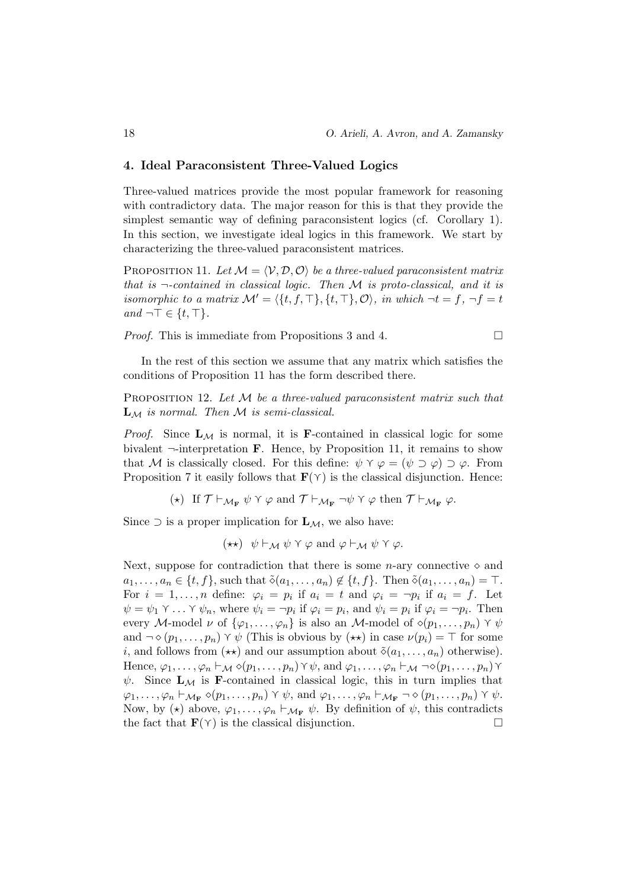#### 4. Ideal Paraconsistent Three-Valued Logics

Three-valued matrices provide the most popular framework for reasoning with contradictory data. The major reason for this is that they provide the simplest semantic way of defining paraconsistent logics (cf. Corollary 1). In this section, we investigate ideal logics in this framework. We start by characterizing the three-valued paraconsistent matrices.

PROPOSITION 11. Let  $\mathcal{M} = \langle \mathcal{V}, \mathcal{D}, \mathcal{O} \rangle$  be a three-valued paraconsistent matrix that is  $\neg$ -contained in classical logic. Then M is proto-classical, and it is isomorphic to a matrix  $\mathcal{M}' = \langle \{t, f, \top \}, \{t, \top \}, \mathcal{O} \rangle$ , in which  $\neg t = f, \neg f = t$ and  $\neg$  ⊤ ∈ {t, ⊤}.

*Proof.* This is immediate from Propositions 3 and 4.  $\Box$ 

In the rest of this section we assume that any matrix which satisfies the conditions of Proposition 11 has the form described there.

PROPOSITION 12. Let  $M$  be a three-valued paraconsistent matrix such that  $L_M$  is normal. Then  $M$  is semi-classical.

*Proof.* Since  $L_M$  is normal, it is **F**-contained in classical logic for some bivalent  $\neg$ -interpretation **F**. Hence, by Proposition 11, it remains to show that M is classically closed. For this define:  $\psi \gamma \varphi = (\psi \supset \varphi) \supset \varphi$ . From Proposition 7 it easily follows that  $\mathbf{F}(\gamma)$  is the classical disjunction. Hence:

$$
(\star) \text{ If } \mathcal{T} \vdash_{\mathcal{M}_{\mathbf{F}}} \psi \lor \varphi \text{ and } \mathcal{T} \vdash_{\mathcal{M}_{\mathbf{F}}} \neg \psi \lor \varphi \text{ then } \mathcal{T} \vdash_{\mathcal{M}_{\mathbf{F}}} \varphi.
$$

Since  $\supset$  is a proper implication for  $\mathbf{L}_{\mathcal{M}}$ , we also have:

$$
(\star\star)\psi \vdash_{\mathcal{M}} \psi \curlyvee \varphi \text{ and } \varphi \vdash_{\mathcal{M}} \psi \curlyvee \varphi.
$$

Next, suppose for contradiction that there is some *n*-ary connective  $\diamond$  and  $a_1, \ldots, a_n \in \{t, f\}$ , such that  $\tilde{\diamond}(a_1, \ldots, a_n) \notin \{t, f\}$ . Then  $\tilde{\diamond}(a_1, \ldots, a_n) = \top$ . For  $i = 1, ..., n$  define:  $\varphi_i = p_i$  if  $a_i = t$  and  $\varphi_i = \neg p_i$  if  $a_i = f$ . Let  $\psi = \psi_1 \vee ... \vee \psi_n$ , where  $\psi_i = \neg p_i$  if  $\varphi_i = p_i$ , and  $\psi_i = p_i$  if  $\varphi_i = \neg p_i$ . Then every M-model  $\nu$  of  $\{\varphi_1,\ldots,\varphi_n\}$  is also an M-model of  $\diamond(p_1,\ldots,p_n) \wedge \psi$ and  $\neg \diamond (p_1, \ldots, p_n) \land \psi$  (This is obvious by  $(\star \star)$ ) in case  $\nu(p_i) = \top$  for some i, and follows from  $(\star\star)$  and our assumption about  $\tilde{\diamond}(a_1,\ldots,a_n)$  otherwise). Hence,  $\varphi_1, \ldots, \varphi_n \vdash_{\mathcal{M}} \diamond (p_1, \ldots, p_n) \land \psi$ , and  $\varphi_1, \ldots, \varphi_n \vdash_{\mathcal{M}} \neg \diamond (p_1, \ldots, p_n) \land \psi$  $\psi$ . Since  $\mathbf{L}_{\mathcal{M}}$  is **F**-contained in classical logic, this in turn implies that  $\varphi_1, \ldots, \varphi_n \vdash_{\mathcal{M}_{\mathbf{F}}} \diamond (p_1, \ldots, p_n) \curlyvee \psi$ , and  $\varphi_1, \ldots, \varphi_n \vdash_{\mathcal{M}_{\mathbf{F}}} \neg \diamond (p_1, \ldots, p_n) \curlyvee \psi$ . Now, by  $(\star)$  above,  $\varphi_1, \ldots, \varphi_n \vdash_{\mathcal{M}_{\mathbf{F}}} \psi$ . By definition of  $\psi$ , this contradicts the fact that  $\mathbf{F}(\gamma)$  is the classical disjunction.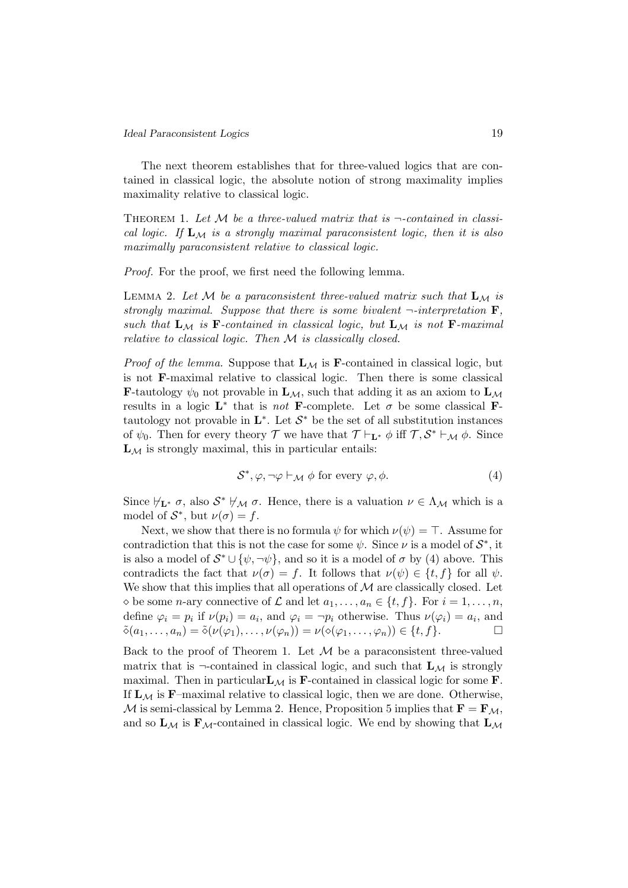The next theorem establishes that for three-valued logics that are contained in classical logic, the absolute notion of strong maximality implies maximality relative to classical logic.

THEOREM 1. Let M be a three-valued matrix that is  $\neg$ -contained in classical logic. If  $\mathbf{L}_{\mathcal{M}}$  is a strongly maximal paraconsistent logic, then it is also maximally paraconsistent relative to classical logic.

Proof. For the proof, we first need the following lemma.

LEMMA 2. Let M be a paraconsistent three-valued matrix such that  $L_M$  is strongly maximal. Suppose that there is some bivalent  $\neg$ -interpretation **F**, such that  $L_M$  is F-contained in classical logic, but  $L_M$  is not F-maximal relative to classical logic. Then M is classically closed.

*Proof of the lemma.* Suppose that  $L_M$  is F-contained in classical logic, but is not F-maximal relative to classical logic. Then there is some classical **F**-tautology  $\psi_0$  not provable in  $\mathbf{L}_{\mathcal{M}}$ , such that adding it as an axiom to  $\mathbf{L}_{\mathcal{M}}$ results in a logic  $\mathbf{L}^*$  that is *not* **F**-complete. Let  $\sigma$  be some classical **F**tautology not provable in  $\mathbf{L}^*$ . Let  $\mathcal{S}^*$  be the set of all substitution instances of  $\psi_0$ . Then for every theory  $\mathcal T$  we have that  $\mathcal T \vdash_{\mathbf L^*} \phi$  iff  $\mathcal T, \mathcal S^* \vdash_{\mathcal M} \phi$ . Since  $L_M$  is strongly maximal, this in particular entails:

$$
S^*, \varphi, \neg \varphi \vdash_{\mathcal{M}} \phi \text{ for every } \varphi, \phi.
$$
 (4)

Since  $\forall_{\mathbf{L}^*} \sigma$ , also  $S^* \not\vdash_{\mathcal{M}} \sigma$ . Hence, there is a valuation  $\nu \in \Lambda_{\mathcal{M}}$  which is a model of  $S^*$ , but  $\nu(\sigma) = f$ .

Next, we show that there is no formula  $\psi$  for which  $\nu(\psi) = \top$ . Assume for contradiction that this is not the case for some  $\psi$ . Since  $\nu$  is a model of  $S^*$ , it is also a model of  $S^* \cup {\psi, \neg \psi}$ , and so it is a model of  $\sigma$  by (4) above. This contradicts the fact that  $\nu(\sigma) = f$ . It follows that  $\nu(\psi) \in \{t, f\}$  for all  $\psi$ . We show that this implies that all operations of  $M$  are classically closed. Let  $\diamond$  be some *n*-ary connective of  $\mathcal L$  and let  $a_1, \ldots, a_n \in \{t, f\}$ . For  $i = 1, \ldots, n$ , define  $\varphi_i = p_i$  if  $\nu(p_i) = a_i$ , and  $\varphi_i = \neg p_i$  otherwise. Thus  $\nu(\varphi_i) = a_i$ , and  $\tilde{\diamond}(a_1,\ldots,a_n)=\tilde{\diamond}(\nu(\varphi_1),\ldots,\nu(\varphi_n))=\nu(\diamond(\varphi_1,\ldots,\varphi_n))\in\{t,f\}.$ 

Back to the proof of Theorem 1. Let  $M$  be a paraconsistent three-valued matrix that is  $\neg$ -contained in classical logic, and such that  $\mathbf{L}_{\mathcal{M}}$  is strongly maximal. Then in particular  $L_M$  is F-contained in classical logic for some F. If  $L_M$  is **F**–maximal relative to classical logic, then we are done. Otherwise, M is semi-classical by Lemma 2. Hence, Proposition 5 implies that  $\mathbf{F} = \mathbf{F}_{\mathcal{M}}$ , and so  $\mathbf{L}_{\mathcal{M}}$  is  $\mathbf{F}_{\mathcal{M}}$ -contained in classical logic. We end by showing that  $\mathbf{L}_{\mathcal{M}}$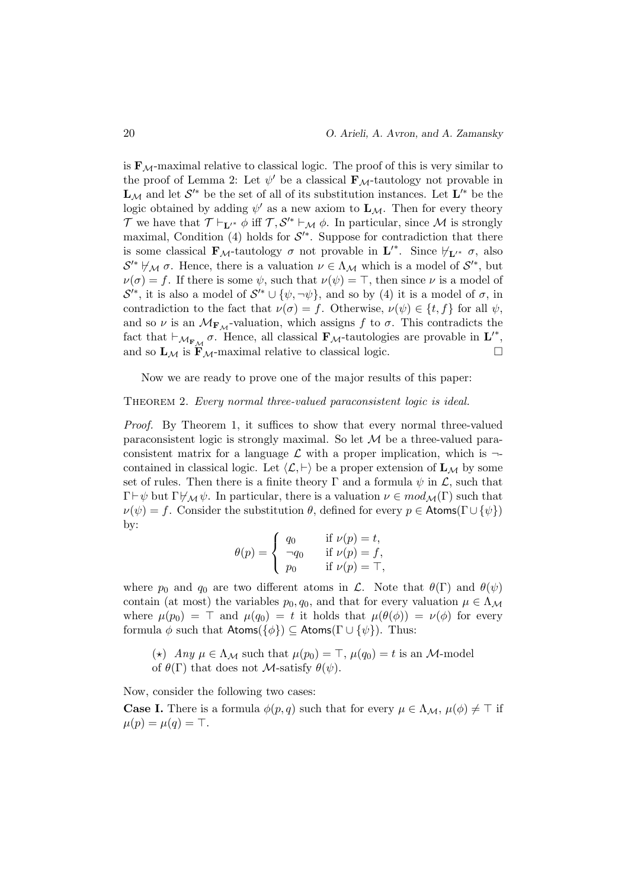is  $\mathbf{F}_{\mathcal{M}}$ -maximal relative to classical logic. The proof of this is very similar to the proof of Lemma 2: Let  $\psi'$  be a classical  $\mathbf{F}_{\mathcal{M}}$ -tautology not provable in  ${\bf L}_M$  and let  $S'^*$  be the set of all of its substitution instances. Let  ${\bf L}'^*$  be the logic obtained by adding  $\psi'$  as a new axiom to  $\mathbf{L}_{\mathcal{M}}$ . Then for every theory T we have that  $\mathcal{T} \vdash_{\mathbf{L}'} \phi$  iff  $\mathcal{T}, \mathcal{S}'^* \vdash_{\mathcal{M}} \phi$ . In particular, since M is strongly maximal, Condition  $(4)$  holds for  $S^{\prime*}$ . Suppose for contradiction that there is some classical  $\mathbf{F}_{\mathcal{M}}$ -tautology  $\sigma$  not provable in  $\mathbf{L}'^*$ . Since  $\nvdash_{\mathbf{L}'} \sigma$ , also  $\mathcal{S}'^* \not\vdash_{\mathcal{M}} \sigma$ . Hence, there is a valuation  $\nu \in \Lambda_{\mathcal{M}}$  which is a model of  $\mathcal{S}'^*$ , but  $\nu(\sigma) = f$ . If there is some  $\psi$ , such that  $\nu(\psi) = \top$ , then since  $\nu$  is a model of  $\mathcal{S}'^*$ , it is also a model of  $\mathcal{S}'^* \cup {\psi, \neg \psi}$ , and so by (4) it is a model of  $\sigma$ , in contradiction to the fact that  $\nu(\sigma) = f$ . Otherwise,  $\nu(\psi) \in \{t, f\}$  for all  $\psi$ , and so  $\nu$  is an  $\mathcal{M}_{\mathbf{F}_M}$ -valuation, which assigns f to  $\sigma$ . This contradicts the fact that  $\vdash_{\mathcal{M}_{\mathbf{F}_{\mathcal{M}}}} \sigma$ . Hence, all classical  $\mathbf{F}_{\mathcal{M}}$ -tautologies are provable in  $\mathbf{L'}^*$ , and so  $\mathbf{L}_{\mathcal{M}}$  is  $\mathbf{F}_{\mathcal{M}}$ -maximal relative to classical logic.

Now we are ready to prove one of the major results of this paper:

#### THEOREM 2. Every normal three-valued paraconsistent logic is ideal.

Proof. By Theorem 1, it suffices to show that every normal three-valued paraconsistent logic is strongly maximal. So let  $\mathcal M$  be a three-valued paraconsistent matrix for a language  $\mathcal L$  with a proper implication, which is  $\neg$ contained in classical logic. Let  $\langle \mathcal{L}, \vdash \rangle$  be a proper extension of  $\mathbf{L}_{\mathcal{M}}$  by some set of rules. Then there is a finite theory  $\Gamma$  and a formula  $\psi$  in  $\mathcal{L}$ , such that  $\Gamma\vdash\psi$  but  $\Gamma\nvdash_{\mathcal{M}}\psi$ . In particular, there is a valuation  $\nu\in mod_{\mathcal{M}}(\Gamma)$  such that  $\nu(\psi) = f$ . Consider the substitution  $\theta$ , defined for every  $p \in$  Atoms( $\Gamma \cup {\psi}$ ) by:

$$
\theta(p) = \begin{cases} q_0 & \text{if } \nu(p) = t, \\ \neg q_0 & \text{if } \nu(p) = f, \\ p_0 & \text{if } \nu(p) = \top, \end{cases}
$$

where  $p_0$  and  $q_0$  are two different atoms in  $\mathcal{L}$ . Note that  $\theta(\Gamma)$  and  $\theta(\psi)$ contain (at most) the variables  $p_0, q_0$ , and that for every valuation  $\mu \in \Lambda_{\mathcal{M}}$ where  $\mu(p_0) = \top$  and  $\mu(q_0) = t$  it holds that  $\mu(\theta(\phi)) = \nu(\phi)$  for every formula  $\phi$  such that Atoms( $\{\phi\}$ )  $\subseteq$  Atoms( $\Gamma \cup \{\psi\}$ ). Thus:

(★) Any  $\mu \in \Lambda_{\mathcal{M}}$  such that  $\mu(p_0) = \top$ ,  $\mu(q_0) = t$  is an M-model of  $\theta(\Gamma)$  that does not *M*-satisfy  $\theta(\psi)$ .

Now, consider the following two cases:

**Case I.** There is a formula  $\phi(p,q)$  such that for every  $\mu \in \Lambda_{\mathcal{M}}, \mu(\phi) \neq \top$  if  $\mu(p) = \mu(q) = \top.$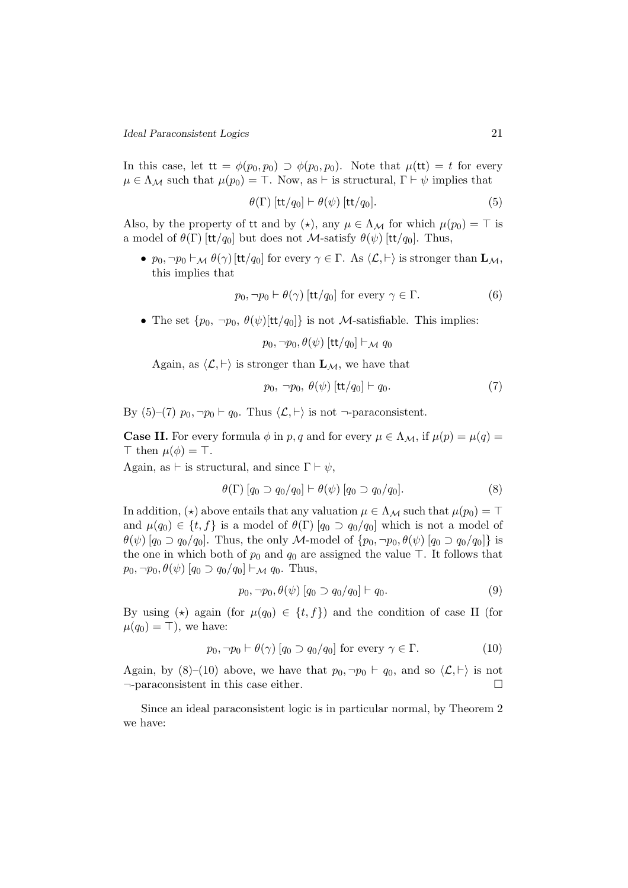In this case, let  $tt = \phi(p_0, p_0) \supset \phi(p_0, p_0)$ . Note that  $\mu(tt) = t$  for every  $\mu \in \Lambda_{\mathcal{M}}$  such that  $\mu(p_0) = \top$ . Now, as  $\vdash$  is structural,  $\Gamma \vdash \psi$  implies that

$$
\theta(\Gamma) \left[ \frac{\mathsf{t} \mathsf{t}}{q_0} \right] \vdash \theta(\psi) \left[ \frac{\mathsf{t} \mathsf{t}}{q_0} \right]. \tag{5}
$$

Also, by the property of **tt** and by  $(\star)$ , any  $\mu \in \Lambda_{\mathcal{M}}$  for which  $\mu(p_0) = \top$  is a model of  $\theta(\Gamma)$  [tt/q<sub>0</sub>] but does not *M*-satisfy  $\theta(\psi)$  [tt/q<sub>0</sub>]. Thus,

•  $p_0, \neg p_0 \vdash_{\mathcal{M}} \theta(\gamma)$  [tt/q<sub>0</sub>] for every  $\gamma \in \Gamma$ . As  $\langle \mathcal{L}, \vdash \rangle$  is stronger than  $\mathbf{L}_{\mathcal{M}},$ this implies that

$$
p_0, \neg p_0 \vdash \theta(\gamma) \left[ \text{tt}/q_0 \right] \text{ for every } \gamma \in \Gamma. \tag{6}
$$

• The set  $\{p_0, \neg p_0, \theta(\psi)$  [tt/q<sub>0</sub>]} is not *M*-satisfiable. This implies:

$$
p_0, \neg p_0, \theta(\psi) \left[ \frac{\text{tt}}{q_0} \right] \vdash_{\mathcal{M}} q_0
$$

Again, as  $\langle \mathcal{L}, \vdash \rangle$  is stronger than  $\mathbf{L}_{\mathcal{M}}$ , we have that

$$
p_0, \neg p_0, \ \theta(\psi) \ [\text{tt}/q_0] \vdash q_0. \tag{7}
$$

By (5)–(7)  $p_0, \neg p_0 \vdash q_0$ . Thus  $\langle \mathcal{L}, \vdash \rangle$  is not  $\neg$ -paraconsistent.

**Case II.** For every formula  $\phi$  in p, q and for every  $\mu \in \Lambda_{\mathcal{M}}$ , if  $\mu(p) = \mu(q)$  $\top$  then  $\mu(\phi) = \top$ .

Again, as  $\vdash$  is structural, and since  $\Gamma \vdash \psi$ ,

$$
\theta(\Gamma) [q_0 \supset q_0/q_0] \vdash \theta(\psi) [q_0 \supset q_0/q_0]. \tag{8}
$$

In addition,  $(\star)$  above entails that any valuation  $\mu \in \Lambda_{\mathcal{M}}$  such that  $\mu(p_0) = \top$ and  $\mu(q_0) \in \{t, f\}$  is a model of  $\theta(\Gamma)$  [ $q_0 \supset q_0/q_0$ ] which is not a model of  $\theta(\psi)$  [q<sub>0</sub>  $\supset q_0/q_0$ ]. Thus, the only M-model of  $\{p_0, \neg p_0, \theta(\psi)$  [q<sub>0</sub>  $\supset q_0/q_0$ ] is the one in which both of  $p_0$  and  $q_0$  are assigned the value ⊤. It follows that  $p_0, \neg p_0, \theta(\psi)$  [ $q_0 \supset q_0/q_0$ ]  $\vdash_{\mathcal{M}} q_0$ . Thus,

$$
p_0, \neg p_0, \theta(\psi) [q_0 \supset q_0/q_0] \vdash q_0. \tag{9}
$$

By using ( $\star$ ) again (for  $\mu(q_0) \in \{t, f\}$ ) and the condition of case II (for  $\mu(q_0) = \top$ , we have:

$$
p_0, \neg p_0 \vdash \theta(\gamma) \left[ q_0 \supset q_0 / q_0 \right] \text{ for every } \gamma \in \Gamma. \tag{10}
$$

Again, by (8)–(10) above, we have that  $p_0, \neg p_0 \vdash q_0$ , and so  $\langle \mathcal{L}, \vdash \rangle$  is not ¬-paraconsistent in this case either.

Since an ideal paraconsistent logic is in particular normal, by Theorem 2 we have: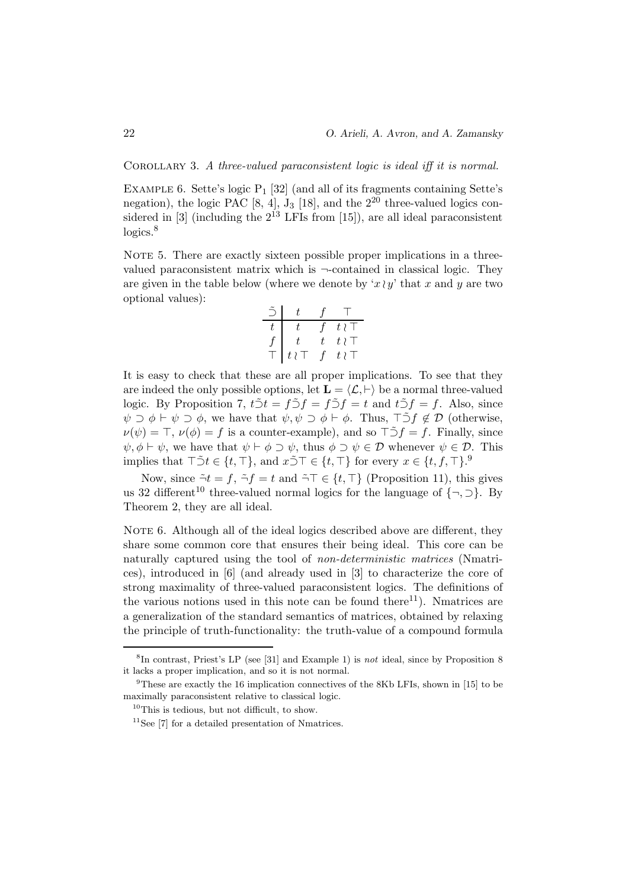Corollary 3. A three-valued paraconsistent logic is ideal iff it is normal.

EXAMPLE 6. Sette's logic  $P_1$  [32] (and all of its fragments containing Sette's negation), the logic PAC  $[8, 4]$ ,  $J_3$  [18], and the  $2^{20}$  three-valued logics considered in [3] (including the  $2^{13}$  LFIs from [15]), are all ideal paraconsistent  $logics.<sup>8</sup>$ 

NOTE 5. There are exactly sixteen possible proper implications in a threevalued paraconsistent matrix which is  $\neg$ -contained in classical logic. They are given in the table below (where we denote by ' $x \wr y'$  that x and y are two optional values):

$$
\begin{array}{c|cc}\n\tilde{\supset} & t & f & \top \\
\hline\nt & t & f & t \wr \top \\
f & t & t & t \wr \top \\
\top & t \wr \top & f & t \wr \top\n\end{array}
$$

It is easy to check that these are all proper implications. To see that they are indeed the only possible options, let  $\mathbf{L} = \langle \mathcal{L}, \vdash \rangle$  be a normal three-valued logic. By Proposition 7,  $t\tilde{\supset}t = f\tilde{\supset}f = t$  and  $t\tilde{\supset}f = f$ . Also, since  $\psi \supset \phi \vdash \psi \supset \phi$ , we have that  $\psi, \psi \supset \phi \vdash \phi$ . Thus,  $\top \tilde{\supset} f \notin \mathcal{D}$  (otherwise,  $\nu(\psi) = \top$ ,  $\nu(\phi) = f$  is a counter-example), and so  $\top 5f = f$ . Finally, since  $\psi, \phi \vdash \psi$ , we have that  $\psi \vdash \phi \supset \psi$ , thus  $\phi \supset \psi \in \mathcal{D}$  whenever  $\psi \in \mathcal{D}$ . This implies that  $\top \tilde{\supset} t \in \{t, \top\}$ , and  $x \tilde{\supset} \top \in \{t, \top\}$  for every  $x \in \{t, f, \top\}$ .<sup>9</sup>

Now, since  $\tilde{\neg} t = f$ ,  $\tilde{\neg} f = t$  and  $\tilde{\neg} T \in \{t, \top\}$  (Proposition 11), this gives us 32 different<sup>10</sup> three-valued normal logics for the language of  $\{\neg, \neg\}$ . By Theorem 2, they are all ideal.

NOTE 6. Although all of the ideal logics described above are different, they share some common core that ensures their being ideal. This core can be naturally captured using the tool of non-deterministic matrices (Nmatrices), introduced in [6] (and already used in [3] to characterize the core of strong maximality of three-valued paraconsistent logics. The definitions of the various notions used in this note can be found there<sup>11</sup>). Nmatrices are a generalization of the standard semantics of matrices, obtained by relaxing the principle of truth-functionality: the truth-value of a compound formula

<sup>8</sup> In contrast, Priest's LP (see [31] and Example 1) is *not* ideal, since by Proposition 8 it lacks a proper implication, and so it is not normal.

<sup>&</sup>lt;sup>9</sup>These are exactly the 16 implication connectives of the 8Kb LFIs, shown in [15] to be maximally paraconsistent relative to classical logic.

<sup>10</sup>This is tedious, but not difficult, to show.

 $11$ See [7] for a detailed presentation of Nmatrices.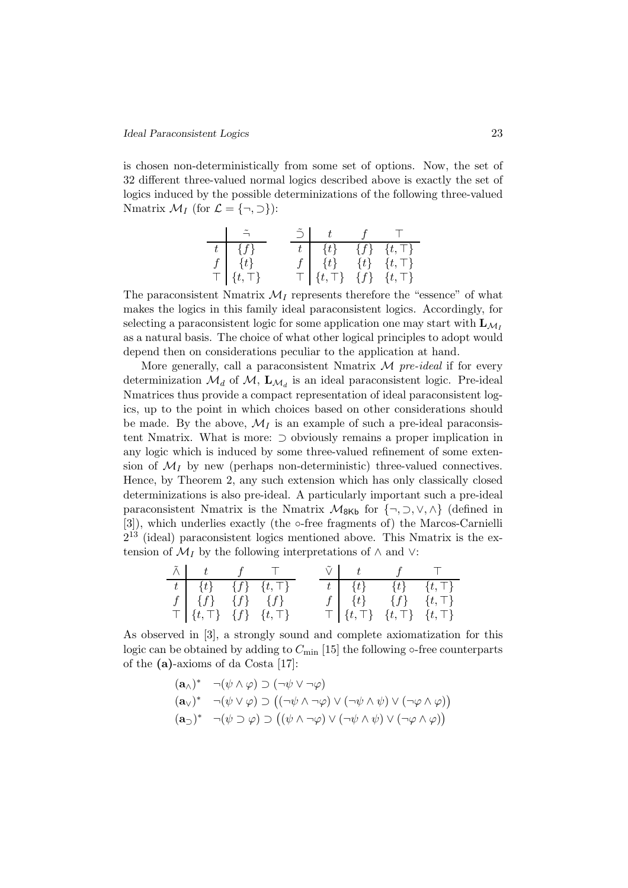is chosen non-deterministically from some set of options. Now, the set of 32 different three-valued normal logics described above is exactly the set of logics induced by the possible determinizations of the following three-valued Nmatrix  $\mathcal{M}_I$  (for  $\mathcal{L} = \{\neg, \supset\}$ ):

| $-\tilde{\neg}$                                                              |  | $\tilde{\supset}$   t f $\top$                                                                                 |                      |
|------------------------------------------------------------------------------|--|----------------------------------------------------------------------------------------------------------------|----------------------|
| $t \quad \{f\}$                                                              |  | $t \begin{array}{ccc} \{t\} \end{array}$                                                                       | $\{f\}$ $\{t,\top\}$ |
| $\frac{f}{\top}$ $\left\{ \begin{matrix} t \\ t, \top \end{matrix} \right\}$ |  |                                                                                                                |                      |
|                                                                              |  | $\begin{array}{c}\nf \begin{array}{c}\n\{t\} \quad \{t\} \quad \{t, \top\} \\ \top \end{array} \\ \end{array}$ |                      |

The paraconsistent Nmatrix  $\mathcal{M}_I$  represents therefore the "essence" of what makes the logics in this family ideal paraconsistent logics. Accordingly, for selecting a paraconsistent logic for some application one may start with  $L_{M}$ as a natural basis. The choice of what other logical principles to adopt would depend then on considerations peculiar to the application at hand.

More generally, call a paraconsistent Nmatrix  $\mathcal M$  pre-ideal if for every determinization  $\mathcal{M}_d$  of  $\mathcal{M}, L_{\mathcal{M}_d}$  is an ideal paraconsistent logic. Pre-ideal Nmatrices thus provide a compact representation of ideal paraconsistent logics, up to the point in which choices based on other considerations should be made. By the above,  $\mathcal{M}_I$  is an example of such a pre-ideal paraconsistent Nmatrix. What is more: ⊃ obviously remains a proper implication in any logic which is induced by some three-valued refinement of some extension of  $\mathcal{M}_I$  by new (perhaps non-deterministic) three-valued connectives. Hence, by Theorem 2, any such extension which has only classically closed determinizations is also pre-ideal. A particularly important such a pre-ideal paraconsistent Nmatrix is the Nmatrix  $\mathcal{M}_{8Kb}$  for  $\{\neg, \supset, \vee, \wedge\}$  (defined in [3]), which underlies exactly (the ∘-free fragments of) the Marcos-Carnielli 2 <sup>13</sup> (ideal) paraconsistent logics mentioned above. This Nmatrix is the extension of  $\mathcal{M}_I$  by the following interpretations of  $\wedge$  and  $\vee$ :

|                                                                                                           | $\tilde{\wedge}$ $t$ $f$ $\top$ |  | $\tilde{\vee}$ t f $\top$                                                    |  |
|-----------------------------------------------------------------------------------------------------------|---------------------------------|--|------------------------------------------------------------------------------|--|
| $t$ $\{t\}$ $\{f\}$ $\{t,\top\}$                                                                          |                                 |  | $\boxed{t}$ $\{t\}$ $\{t\}$ $\{t,\top\}$                                     |  |
|                                                                                                           |                                 |  | $f \mid \{t\}$ $\{f\}$ $\{t,\top\}$                                          |  |
| $\begin{array}{c cc}\nf & \{f\} & \{f\} & \{f\} \\ \top & \{t, \top\} & \{f\} & \{t, \top\}\n\end{array}$ |                                 |  | $\top \begin{bmatrix} \{t, \top\} & \{t, \top\} & \{t, \top\} \end{bmatrix}$ |  |

As observed in [3], a strongly sound and complete axiomatization for this logic can be obtained by adding to  $C_{\text{min}}$  [15] the following  $\circ$ -free counterparts of the (a)-axioms of da Costa [17]:

$$
(\mathbf{a}_{\wedge})^* \quad \neg(\psi \wedge \varphi) \supset (\neg \psi \vee \neg \varphi)
$$
  
\n
$$
(\mathbf{a}_{\vee})^* \quad \neg(\psi \vee \varphi) \supset ((\neg \psi \wedge \neg \varphi) \vee (\neg \psi \wedge \psi) \vee (\neg \varphi \wedge \varphi))
$$
  
\n
$$
(\mathbf{a}_{\supset})^* \quad \neg(\psi \supset \varphi) \supset ((\psi \wedge \neg \varphi) \vee (\neg \psi \wedge \psi) \vee (\neg \varphi \wedge \varphi))
$$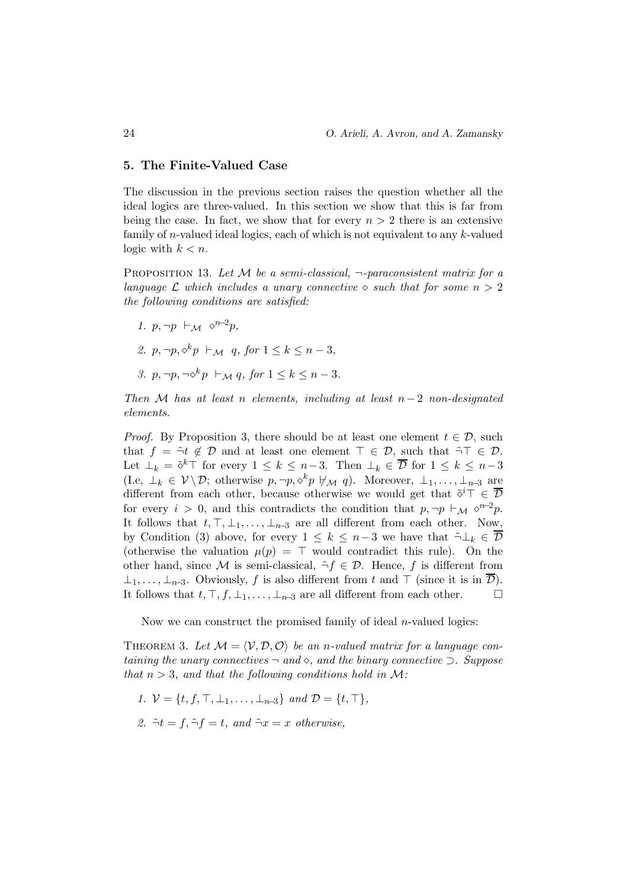#### 5. The Finite-Valued Case

The discussion in the previous section raises the question whether all the ideal logics are three-valued. In this section we show that this is far from being the case. In fact, we show that for every  $n > 2$  there is an extensive family of n-valued ideal logics, each of which is not equivalent to any k-valued logic with  $k < n$ .

PROPOSITION 13. Let  $M$  be a semi-classical,  $\neg$ -paraconsistent matrix for a language  $\mathcal L$  which includes a unary connective  $\diamond$  such that for some  $n > 2$ the following conditions are satisfied:

1.  $p, \neg p \vdash_{\mathcal{M}} \diamond^{n-2}p$ , 2.  $p, \neg p, \Diamond^k p \vdash_{\mathcal{M}} q, \text{ for } 1 \leq k \leq n-3,$ 3.  $p, \neg p, \neg \diamond^k p \vdash_M q, \text{ for } 1 \leq k \leq n-3.$ 

Then M has at least n elements, including at least  $n-2$  non-designated elements.

*Proof.* By Proposition 3, there should be at least one element  $t \in \mathcal{D}$ , such that  $f = \tilde{\neg} t \notin \mathcal{D}$  and at least one element  $\top \in \mathcal{D}$ , such that  $\tilde{\neg} \top \in \mathcal{D}$ . Let  $\bot_k = \tilde{\diamond}^k \top$  for every  $1 \leq k \leq n-3$ . Then  $\bot_k \in \overline{\mathcal{D}}$  for  $1 \leq k \leq n-3$ (I.e,  $\perp_k \in \mathcal{V} \backslash \mathcal{D}$ ; otherwise  $p, \neg p, \diamond^k p \not\vdash_{\mathcal{M}} q$ ). Moreover,  $\perp_1, \ldots, \perp_{n-3}$  are different from each other, because otherwise we would get that  $\tilde{\diamond}^i \top \in \overline{\mathcal{D}}$ for every  $i > 0$ , and this contradicts the condition that  $p, \neg p \vdash_{\mathcal{M}} \Diamond^{n-2}p$ . It follows that  $t, \top, \bot_1, \ldots, \bot_{n-3}$  are all different from each other. Now, by Condition (3) above, for every  $1 \leq k \leq n-3$  we have that  $\tilde{\neg} \bot_k \in \overline{\mathcal{D}}$ (otherwise the valuation  $\mu(p) = \top$  would contradict this rule). On the other hand, since M is semi-classical,  $\tilde{\neg} f \in \mathcal{D}$ . Hence, f is different from  $\perp_1, \ldots, \perp_{n-3}$ . Obviously, f is also different from t and  $\top$  (since it is in  $\mathcal{D}$ ). It follows that  $t, \top, f, \bot_1, \ldots, \bot_{n-3}$  are all different from each other.  $\Box$ 

Now we can construct the promised family of ideal  $n$ -valued logics:

THEOREM 3. Let  $\mathcal{M} = \langle \mathcal{V}, \mathcal{D}, \mathcal{O} \rangle$  be an n-valued matrix for a language containing the unary connectives  $\neg$  and  $\diamond$ , and the binary connective  $\supset$ . Suppose that  $n > 3$ , and that the following conditions hold in M:

- 1.  $V = \{t, f, \top, \bot_1, \ldots, \bot_{n-3}\}$  and  $\mathcal{D} = \{t, \top\},\$
- 2.  $\tilde{\neg} t = f, \tilde{\neg} f = t$ , and  $\tilde{\neg} x = x$  otherwise,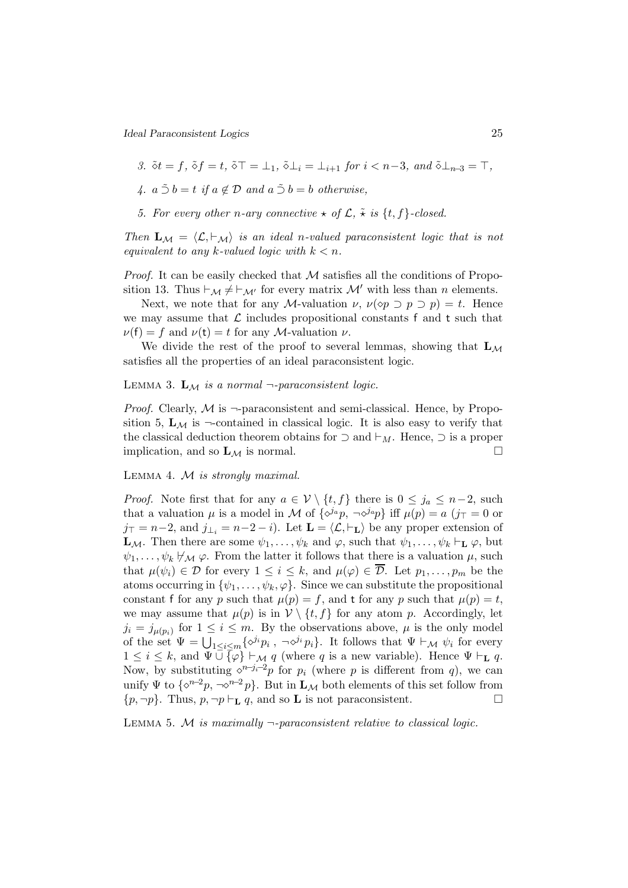- 3.  $\delta t = f$ ,  $\delta f = t$ ,  $\delta \top = \bot_1$ ,  $\delta \bot_i = \bot_{i+1}$  for  $i < n-3$ , and  $\delta \bot_{n-3} = \top$ ,
- 4.  $a \tilde{\supset} b = t$  if  $a \notin \mathcal{D}$  and  $a \tilde{\supset} b = b$  otherwise,
- 5. For every other n-ary connective  $\star$  of  $\mathcal{L}, \tilde{\star}$  is {t, f}-closed.

Then  $\mathbf{L}_{\mathcal{M}} = \langle \mathcal{L}, \vdash_{\mathcal{M}} \rangle$  is an ideal n-valued paraconsistent logic that is not equivalent to any k-valued logic with  $k < n$ .

*Proof.* It can be easily checked that  $M$  satisfies all the conditions of Proposition 13. Thus  $\vdash_{\mathcal{M}} \neq \vdash_{\mathcal{M'}}$  for every matrix  $\mathcal{M}'$  with less than n elements.

Next, we note that for any M-valuation  $\nu$ ,  $\nu(\infty \supset p \supset p) = t$ . Hence we may assume that  $\mathcal L$  includes propositional constants f and t such that  $\nu(f) = f$  and  $\nu(f) = t$  for any *M*-valuation  $\nu$ .

We divide the rest of the proof to several lemmas, showing that  $L_M$ satisfies all the properties of an ideal paraconsistent logic.

# LEMMA 3.  $\mathbf{L}_{\mathcal{M}}$  is a normal  $\neg$ -paraconsistent logic.

*Proof.* Clearly,  $M$  is  $\neg$ -paraconsistent and semi-classical. Hence, by Proposition 5,  $\mathbf{L}_{\mathcal{M}}$  is  $\neg$ -contained in classical logic. It is also easy to verify that the classical deduction theorem obtains for  $\supset$  and  $\vdash_M$ . Hence,  $\supset$  is a proper implication, and so  $\mathbf{L}_{\mathcal{M}}$  is normal.

LEMMA 4.  $M$  is strongly maximal.

*Proof.* Note first that for any  $a \in V \setminus \{t, f\}$  there is  $0 \leq j_a \leq n-2$ , such that a valuation  $\mu$  is a model in M of  $\{\diamond^{ja} p, \neg \diamond^{ja} p\}$  iff  $\mu(p) = a$   $(j \top = 0 \text{ or }$  $j_{\top} = n-2$ , and  $j_{\perp i} = n-2-i$ ). Let  $\mathbf{L} = \langle \mathcal{L}, \vdash_{\mathbf{L}} \rangle$  be any proper extension of  $\mathbf{L}_{\mathcal{M}}$ . Then there are some  $\psi_1, \ldots, \psi_k$  and  $\varphi$ , such that  $\psi_1, \ldots, \psi_k \vdash_{\mathbf{L}} \varphi$ , but  $\psi_1, \ldots, \psi_k \not\vdash_{\mathcal{M}} \varphi$ . From the latter it follows that there is a valuation  $\mu$ , such that  $\mu(\psi_i) \in \mathcal{D}$  for every  $1 \leq i \leq k$ , and  $\mu(\varphi) \in \overline{\mathcal{D}}$ . Let  $p_1, \ldots, p_m$  be the atoms occurring in  $\{\psi_1,\ldots,\psi_k,\varphi\}$ . Since we can substitute the propositional constant f for any p such that  $\mu(p) = f$ , and t for any p such that  $\mu(p) = t$ , we may assume that  $\mu(p)$  is in  $\mathcal{V} \setminus \{t, f\}$  for any atom p. Accordingly, let  $j_i = j_{\mu(p_i)}$  for  $1 \leq i \leq m$ . By the observations above,  $\mu$  is the only model of the set  $\Psi = \bigcup_{1 \leq i \leq m} \{ \diamond^{j_i} p_i, \neg \diamond^{j_i} p_i \}.$  It follows that  $\Psi \vdash_{\mathcal{M}} \psi_i$  for every  $1 \leq i \leq k$ , and  $\Psi \cup {\varphi} \vdash_{\mathcal{M}} q$  (where q is a new variable). Hence  $\Psi \vdash_{\mathbf{L}} q$ . Now, by substituting  $\Diamond^{n-j_i-2}p$  for  $p_i$  (where p is different from q), we can unify  $\Psi$  to  $\{\diamond^{n-2}p, \neg \diamond^{n-2}p\}$ . But in  $\mathbf{L}_{\mathcal{M}}$  both elements of this set follow from  $\{p, \neg p\}$ . Thus,  $p, \neg p \vdash_L q$ , and so L is not paraconsistent.

LEMMA 5. M is maximally  $\neg$ -paraconsistent relative to classical logic.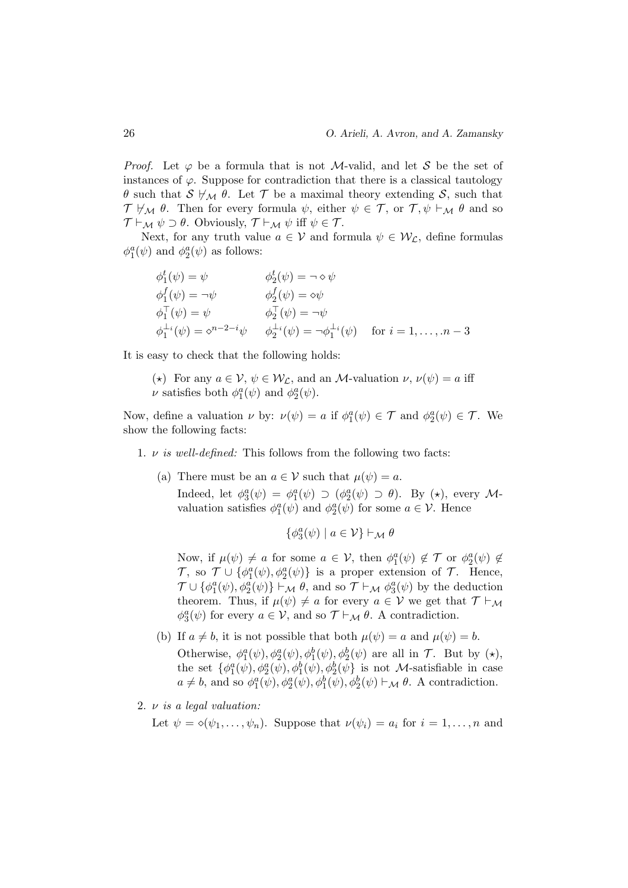*Proof.* Let  $\varphi$  be a formula that is not M-valid, and let S be the set of instances of  $\varphi$ . Suppose for contradiction that there is a classical tautology θ such that  $\mathcal{S} \not\models_{\mathcal{M}} \theta$ . Let  $\mathcal{T}$  be a maximal theory extending  $\mathcal{S}$ , such that  $\mathcal{T} \not\vdash_{\mathcal{M}} \theta$ . Then for every formula  $\psi$ , either  $\psi \in \mathcal{T}$ , or  $\mathcal{T}, \psi \vdash_{\mathcal{M}} \theta$  and so  $\mathcal{T} \vdash_{\mathcal{M}} \psi \supset \theta$ . Obviously,  $\mathcal{T} \vdash_{\mathcal{M}} \psi$  iff  $\psi \in \mathcal{T}$ .

Next, for any truth value  $a \in V$  and formula  $\psi \in \mathcal{W}_{\mathcal{L}}$ , define formulas  $\phi_1^a(\psi)$  and  $\phi_2^a(\psi)$  as follows:

$$
\begin{aligned}\n\phi_1^t(\psi) &= \psi & \phi_2^t(\psi) &= \neg \diamond \psi \\
\phi_1^f(\psi) &= \neg \psi & \phi_2^f(\psi) &= \diamond \psi \\
\phi_1^\top(\psi) &= \psi & \phi_2^\top(\psi) &= \neg \psi \\
\phi_1^{\perp_i}(\psi) &= \diamond^{n-2-i}\psi & \phi_2^{\perp_i}(\psi) &= \neg \phi_1^{\perp_i}(\psi) & \text{for } i = 1, \dots, n-3\n\end{aligned}
$$

It is easy to check that the following holds:

(\*) For any  $a \in V$ ,  $\psi \in \mathcal{W}_\mathcal{L}$ , and an *M*-valuation  $\nu$ ,  $\nu(\psi) = a$  iff  $\nu$  satisfies both  $\phi_1^a(\psi)$  and  $\phi_2^a(\psi)$ .

Now, define a valuation  $\nu$  by:  $\nu(\psi) = a$  if  $\phi_1^a(\psi) \in \mathcal{T}$  and  $\phi_2^a(\psi) \in \mathcal{T}$ . We show the following facts:

- 1.  $\nu$  is well-defined: This follows from the following two facts:
	- (a) There must be an  $a \in V$  such that  $\mu(\psi) = a$ .

Indeed, let  $\phi_3^a(\psi) = \phi_1^a(\psi) \supset (\phi_2^a(\psi) \supset \theta)$ . By  $(\star)$ , every Mvaluation satisfies  $\phi_1^a(\psi)$  and  $\phi_2^a(\psi)$  for some  $a \in \mathcal{V}$ . Hence

$$
\{\phi^a_3(\psi)\mid a\in \mathcal{V}\}\vdash_{\mathcal{M}}\theta
$$

Now, if  $\mu(\psi) \neq a$  for some  $a \in \mathcal{V}$ , then  $\phi_1^a(\psi) \notin \mathcal{T}$  or  $\phi_2^a(\psi) \notin$  $\mathcal{T}$ , so  $\mathcal{T} \cup \{ \phi_1^a(\psi), \phi_2^a(\psi) \}$  is a proper extension of  $\mathcal{T}$ . Hence,  $\mathcal{T} \cup \{\phi_1^a(\psi), \phi_2^a(\psi)\}\vdash_{\mathcal{M}} \theta$ , and so  $\mathcal{T} \vdash_{\mathcal{M}} \phi_3^a(\psi)$  by the deduction theorem. Thus, if  $\mu(\psi) \neq a$  for every  $a \in \mathcal{V}$  we get that  $\mathcal{T} \vdash_{\mathcal{M}}$  $\phi_3^a(\psi)$  for every  $a \in \mathcal{V}$ , and so  $\mathcal{T} \vdash_{\mathcal{M}} \theta$ . A contradiction.

- (b) If  $a \neq b$ , it is not possible that both  $\mu(\psi) = a$  and  $\mu(\psi) = b$ . Otherwise,  $\phi_1^a(\psi), \phi_2^a(\psi), \phi_1^b(\psi), \phi_2^b(\psi)$  are all in  $\mathcal{T}$ . But by  $(\star)$ , the set  $\{\phi_1^a(\psi), \phi_2^a(\psi), \phi_1^b(\psi), \phi_2^b(\psi)\}$  is not *M*-satisfiable in case  $a \neq b$ , and so  $\phi_1^a(\psi), \phi_2^a(\psi), \phi_1^b(\psi), \phi_2^b(\psi) \vdash_{\mathcal{M}} \theta$ . A contradiction.
- 2.  $\nu$  is a legal valuation:

Let  $\psi = \diamond(\psi_1, \ldots, \psi_n)$ . Suppose that  $\nu(\psi_i) = a_i$  for  $i = 1, \ldots, n$  and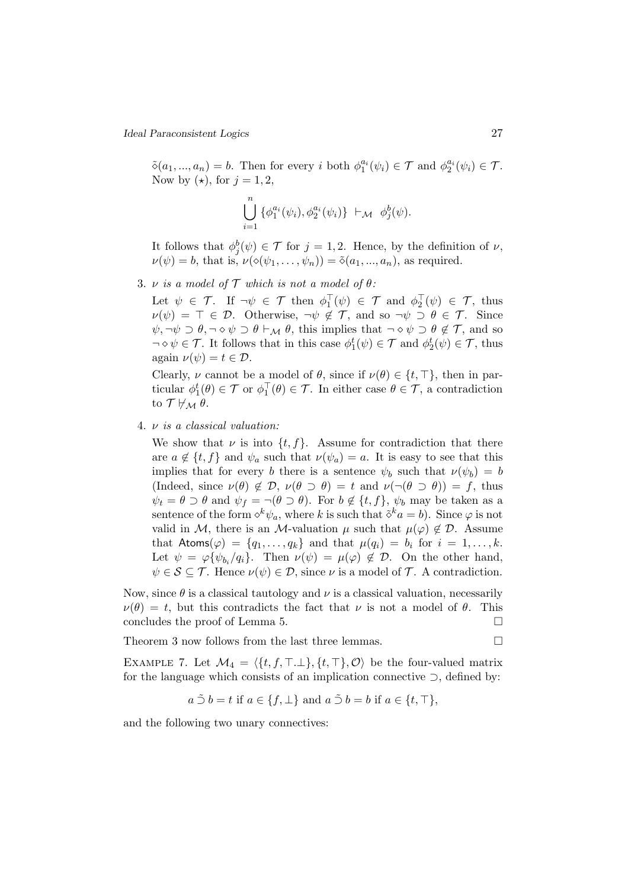$\tilde{\diamond}(a_1, ..., a_n) = b.$  Then for every *i* both  $\phi_1^{a_i}$  $j_1^{a_i}(\psi_i) \in \mathcal{T}$  and  $\phi_2^{a_i}$  $_2^{a_i}(\psi_i) \in \mathcal{T}$ . Now by  $(\star)$ , for  $i = 1, 2$ ,

$$
\bigcup_{i=1}^{n} \{ \phi_1^{a_i}(\psi_i), \phi_2^{a_i}(\psi_i) \} \vdash_{\mathcal{M}} \phi_j^{b}(\psi).
$$

It follows that  $\phi_j^b(\psi) \in \mathcal{T}$  for  $j = 1, 2$ . Hence, by the definition of  $\nu$ ,  $\nu(\psi) = b$ , that is,  $\nu(\diamond(\psi_1, \ldots, \psi_n)) = \tilde{\diamond}(a_1, \ldots, a_n)$ , as required.

3.  $\nu$  is a model of  $\mathcal T$  which is not a model of  $\theta$ :

Let  $\psi \in \mathcal{T}$ . If  $\neg \psi \in \mathcal{T}$  then  $\phi_1^{\top}(\psi) \in \mathcal{T}$  and  $\phi_2^{\top}(\psi) \in \mathcal{T}$ , thus  $\nu(\psi) = \top \in \mathcal{D}$ . Otherwise,  $\neg \psi \notin \mathcal{T}$ , and so  $\neg \psi \supset \theta \in \mathcal{T}$ . Since  $\psi, \neg \psi \supset \theta, \neg \diamond \psi \supset \theta \vdash_{\mathcal{M}} \theta$ , this implies that  $\neg \diamond \psi \supset \theta \notin \mathcal{T}$ , and so  $\neg \circ \psi \in \mathcal{T}$ . It follows that in this case  $\phi_1^t(\psi) \in \mathcal{T}$  and  $\phi_2^t(\psi) \in \mathcal{T}$ , thus again  $\nu(\psi) = t \in \mathcal{D}$ .

Clearly,  $\nu$  cannot be a model of  $\theta$ , since if  $\nu(\theta) \in \{t, \top\}$ , then in particular  $\phi_1^t(\theta) \in \mathcal{T}$  or  $\phi_1^{\top}(\theta) \in \mathcal{T}$ . In either case  $\theta \in \mathcal{T}$ , a contradiction to  $\mathcal{T} \not\models_{\mathcal{M}} \theta$ .

4. ν is a classical valuation:

We show that  $\nu$  is into  $\{t, f\}$ . Assume for contradiction that there are  $a \notin \{t, f\}$  and  $\psi_a$  such that  $\nu(\psi_a) = a$ . It is easy to see that this implies that for every b there is a sentence  $\psi_b$  such that  $\nu(\psi_b) = b$ (Indeed, since  $\nu(\theta) \notin \mathcal{D}$ ,  $\nu(\theta \supset \theta) = t$  and  $\nu(\neg(\theta \supset \theta)) = f$ , thus  $\psi_t = \theta \supset \theta$  and  $\psi_f = \neg(\theta \supset \theta)$ . For  $b \notin \{t, f\}, \psi_b$  may be taken as a sentence of the form  $\diamond^k \psi_a$ , where k is such that  $\tilde{\diamond}^k a = b$ ). Since  $\varphi$  is not valid in M, there is an M-valuation  $\mu$  such that  $\mu(\varphi) \notin \mathcal{D}$ . Assume that  $\textsf{Atoms}(\varphi) = \{q_1, \ldots, q_k\}$  and that  $\mu(q_i) = b_i$  for  $i = 1, \ldots, k$ . Let  $\psi = \varphi \{ \psi_{b_i}/q_i \}.$  Then  $\nu(\psi) = \mu(\varphi) \notin \mathcal{D}$ . On the other hand,  $\psi \in \mathcal{S} \subseteq \mathcal{T}$ . Hence  $\nu(\psi) \in \mathcal{D}$ , since  $\nu$  is a model of  $\mathcal{T}$ . A contradiction.

Now, since  $\theta$  is a classical tautology and  $\nu$  is a classical valuation, necessarily  $\nu(\theta) = t$ , but this contradicts the fact that  $\nu$  is not a model of  $\theta$ . This concludes the proof of Lemma 5.

Theorem 3 now follows from the last three lemmas.  $\Box$ 

EXAMPLE 7. Let  $\mathcal{M}_4 = \langle \{t, f, \top, \bot\}, \{t, \top\}, \mathcal{O} \rangle$  be the four-valued matrix for the language which consists of an implication connective ⊃, defined by:

$$
a \tilde{\supset} b = t
$$
 if  $a \in \{f, \perp\}$  and  $a \tilde{\supset} b = b$  if  $a \in \{t, \top\}$ ,

and the following two unary connectives: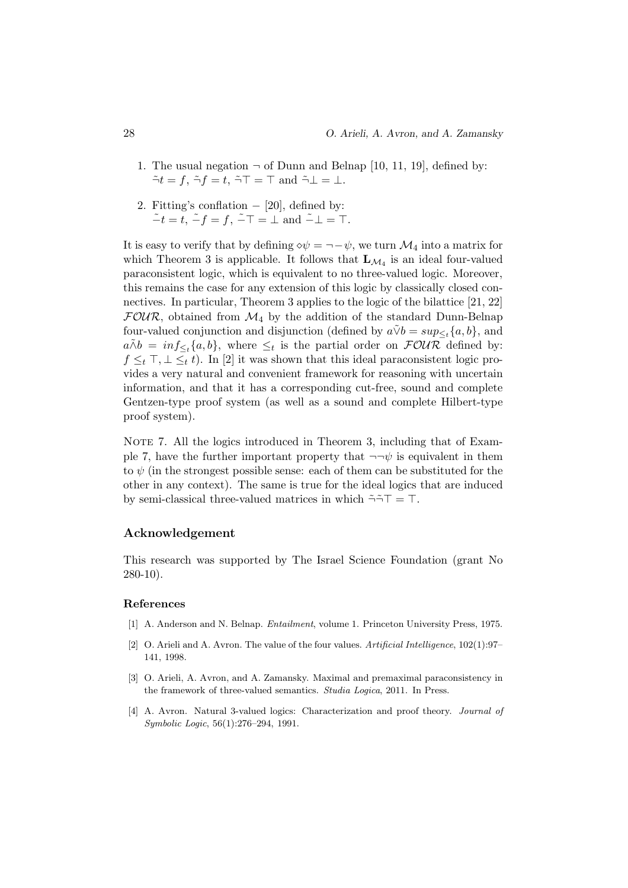- 1. The usual negation  $\neg$  of Dunn and Belnap [10, 11, 19], defined by:  $\tilde{\neg} t = f$ ,  $\tilde{\neg} f = t$ ,  $\tilde{\neg} \top = \top$  and  $\tilde{\neg} \bot = \bot$ .
- 2. Fitting's conflation  $-$  [20], defined by:  $\tilde{-}t = t$ ,  $\tilde{-}f = f$ ,  $\tilde{-}T = \perp$  and  $\tilde{-} \perp = T$ .

It is easy to verify that by defining  $\diamond \psi = \neg - \psi$ , we turn  $\mathcal{M}_4$  into a matrix for which Theorem 3 is applicable. It follows that  $\mathbf{L}_{\mathcal{M}_4}$  is an ideal four-valued paraconsistent logic, which is equivalent to no three-valued logic. Moreover, this remains the case for any extension of this logic by classically closed connectives. In particular, Theorem 3 applies to the logic of the bilattice [21, 22]  $FOUR$ , obtained from  $\mathcal{M}_4$  by the addition of the standard Dunn-Belnap four-valued conjunction and disjunction (defined by  $a\tilde{\vee}b = \sup_{\leq x} \{a, b\}$ , and  $a \tilde{\wedge} b = inf_{\leq t} \{a, b\},$  where  $\leq_t$  is the partial order on  $\mathcal{FOUR}$  defined by:  $f \leq_t \top$ ,  $\bot \leq_t t$ ). In [2] it was shown that this ideal paraconsistent logic provides a very natural and convenient framework for reasoning with uncertain information, and that it has a corresponding cut-free, sound and complete Gentzen-type proof system (as well as a sound and complete Hilbert-type proof system).

NOTE 7. All the logics introduced in Theorem 3, including that of Example 7, have the further important property that  $\neg\neg\psi$  is equivalent in them to  $\psi$  (in the strongest possible sense: each of them can be substituted for the other in any context). The same is true for the ideal logics that are induced by semi-classical three-valued matrices in which  $\tilde{\neg} \tilde{\neg} T = T$ .

# Acknowledgement

This research was supported by The Israel Science Foundation (grant No 280-10).

### References

- [1] A. Anderson and N. Belnap. *Entailment*, volume 1. Princeton University Press, 1975.
- [2] O. Arieli and A. Avron. The value of the four values. *Artificial Intelligence*, 102(1):97– 141, 1998.
- [3] O. Arieli, A. Avron, and A. Zamansky. Maximal and premaximal paraconsistency in the framework of three-valued semantics. *Studia Logica*, 2011. In Press.
- [4] A. Avron. Natural 3-valued logics: Characterization and proof theory. *Journal of Symbolic Logic*, 56(1):276–294, 1991.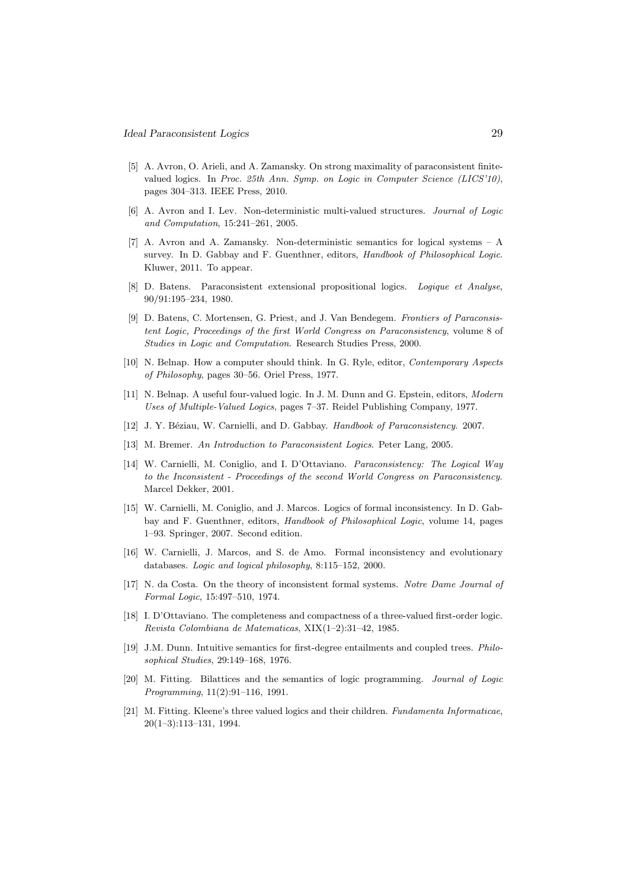- [5] A. Avron, O. Arieli, and A. Zamansky. On strong maximality of paraconsistent finitevalued logics. In *Proc. 25th Ann. Symp. on Logic in Computer Science (LICS'10)*, pages 304–313. IEEE Press, 2010.
- [6] A. Avron and I. Lev. Non-deterministic multi-valued structures. *Journal of Logic and Computation*, 15:241–261, 2005.
- [7] A. Avron and A. Zamansky. Non-deterministic semantics for logical systems A survey. In D. Gabbay and F. Guenthner, editors, *Handbook of Philosophical Logic*. Kluwer, 2011. To appear.
- [8] D. Batens. Paraconsistent extensional propositional logics. *Logique et Analyse*, 90/91:195–234, 1980.
- [9] D. Batens, C. Mortensen, G. Priest, and J. Van Bendegem. *Frontiers of Paraconsistent Logic, Proceedings of the first World Congress on Paraconsistency*, volume 8 of *Studies in Logic and Computation*. Research Studies Press, 2000.
- [10] N. Belnap. How a computer should think. In G. Ryle, editor, *Contemporary Aspects of Philosophy*, pages 30–56. Oriel Press, 1977.
- [11] N. Belnap. A useful four-valued logic. In J. M. Dunn and G. Epstein, editors, *Modern Uses of Multiple-Valued Logics*, pages 7–37. Reidel Publishing Company, 1977.
- [12] J. Y. B´eziau, W. Carnielli, and D. Gabbay. *Handbook of Paraconsistency*. 2007.
- [13] M. Bremer. *An Introduction to Paraconsistent Logics*. Peter Lang, 2005.
- [14] W. Carnielli, M. Coniglio, and I. D'Ottaviano. *Paraconsistency: The Logical Way to the Inconsistent - Proceedings of the second World Congress on Paraconsistency*. Marcel Dekker, 2001.
- [15] W. Carnielli, M. Coniglio, and J. Marcos. Logics of formal inconsistency. In D. Gabbay and F. Guenthner, editors, *Handbook of Philosophical Logic*, volume 14, pages 1–93. Springer, 2007. Second edition.
- [16] W. Carnielli, J. Marcos, and S. de Amo. Formal inconsistency and evolutionary databases. *Logic and logical philosophy*, 8:115–152, 2000.
- [17] N. da Costa. On the theory of inconsistent formal systems. *Notre Dame Journal of Formal Logic*, 15:497–510, 1974.
- [18] I. D'Ottaviano. The completeness and compactness of a three-valued first-order logic. *Revista Colombiana de Matematicas*, XIX(1–2):31–42, 1985.
- [19] J.M. Dunn. Intuitive semantics for first-degree entailments and coupled trees. *Philosophical Studies*, 29:149–168, 1976.
- [20] M. Fitting. Bilattices and the semantics of logic programming. *Journal of Logic Programming*, 11(2):91–116, 1991.
- [21] M. Fitting. Kleene's three valued logics and their children. *Fundamenta Informaticae*, 20(1–3):113–131, 1994.